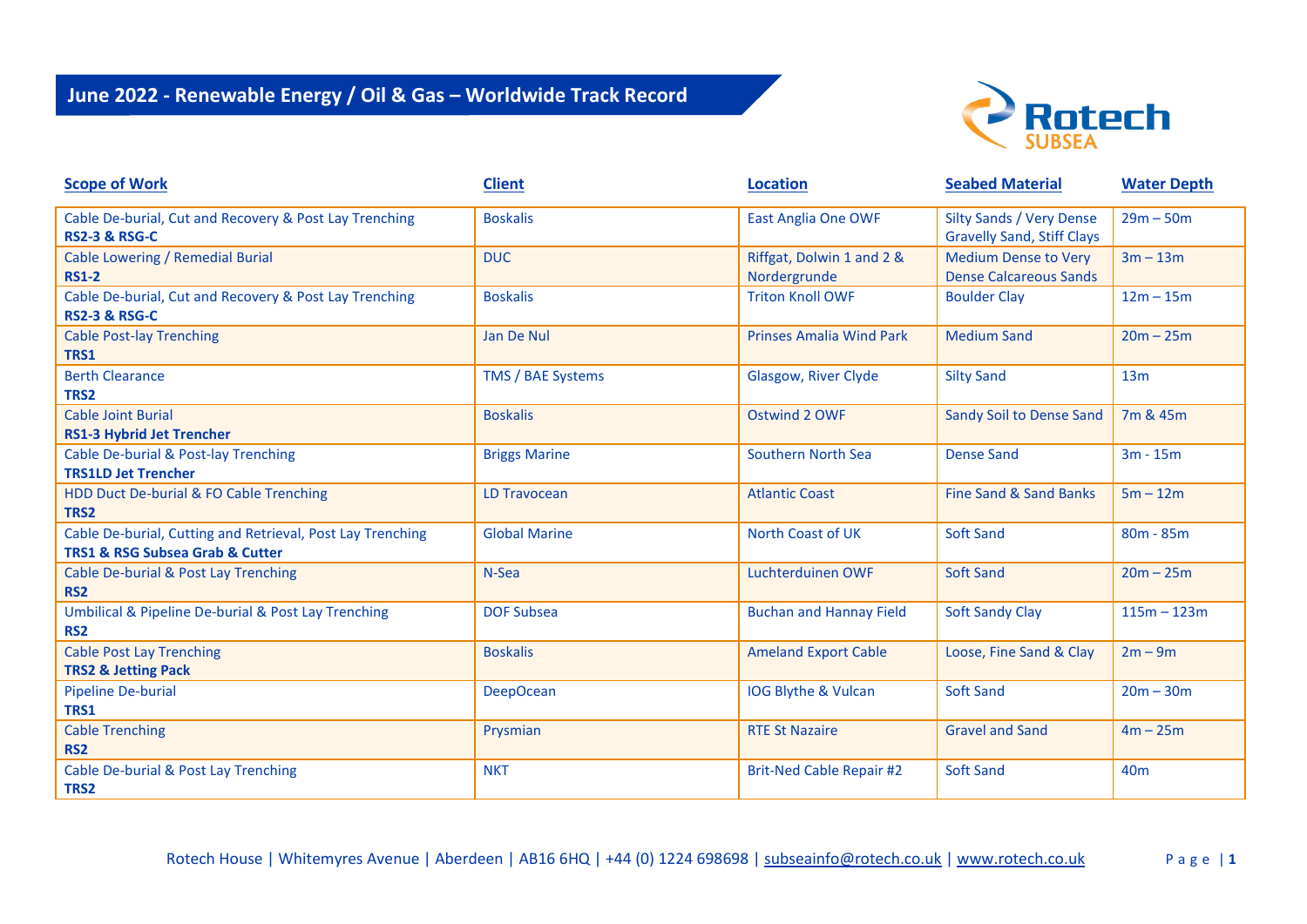

| <b>Scope of Work</b>                                                                                         | <b>Client</b>        | <b>Location</b>                           | <b>Seabed Material</b>                                               | <b>Water Depth</b> |
|--------------------------------------------------------------------------------------------------------------|----------------------|-------------------------------------------|----------------------------------------------------------------------|--------------------|
| Cable De-burial, Cut and Recovery & Post Lay Trenching<br><b>RS2-3 &amp; RSG-C</b>                           | <b>Boskalis</b>      | <b>East Anglia One OWF</b>                | <b>Silty Sands / Very Dense</b><br><b>Gravelly Sand, Stiff Clays</b> | $29m - 50m$        |
| Cable Lowering / Remedial Burial<br><b>RS1-2</b>                                                             | <b>DUC</b>           | Riffgat, Dolwin 1 and 2 &<br>Nordergrunde | <b>Medium Dense to Very</b><br><b>Dense Calcareous Sands</b>         | $3m - 13m$         |
| Cable De-burial, Cut and Recovery & Post Lay Trenching<br><b>RS2-3 &amp; RSG-C</b>                           | <b>Boskalis</b>      | <b>Triton Knoll OWF</b>                   | <b>Boulder Clay</b>                                                  | $12m - 15m$        |
| <b>Cable Post-lay Trenching</b><br>TRS1                                                                      | Jan De Nul           | <b>Prinses Amalia Wind Park</b>           | <b>Medium Sand</b>                                                   | $20m - 25m$        |
| <b>Berth Clearance</b><br>TRS2                                                                               | TMS / BAE Systems    | Glasgow, River Clyde                      | <b>Silty Sand</b>                                                    | 13 <sub>m</sub>    |
| <b>Cable Joint Burial</b><br><b>RS1-3 Hybrid Jet Trencher</b>                                                | <b>Boskalis</b>      | Ostwind 2 OWF                             | Sandy Soil to Dense Sand                                             | 7m & 45m           |
| Cable De-burial & Post-lay Trenching<br><b>TRS1LD Jet Trencher</b>                                           | <b>Briggs Marine</b> | Southern North Sea                        | <b>Dense Sand</b>                                                    | $3m - 15m$         |
| HDD Duct De-burial & FO Cable Trenching<br>TRS2                                                              | <b>LD Travocean</b>  | <b>Atlantic Coast</b>                     | Fine Sand & Sand Banks                                               | $5m - 12m$         |
| Cable De-burial, Cutting and Retrieval, Post Lay Trenching<br><b>TRS1 &amp; RSG Subsea Grab &amp; Cutter</b> | <b>Global Marine</b> | North Coast of UK                         | <b>Soft Sand</b>                                                     | $80m - 85m$        |
| Cable De-burial & Post Lay Trenching<br>RS <sub>2</sub>                                                      | N-Sea                | Luchterduinen OWF                         | <b>Soft Sand</b>                                                     | $20m - 25m$        |
| <b>Umbilical &amp; Pipeline De-burial &amp; Post Lay Trenching</b><br>RS <sub>2</sub>                        | <b>DOF Subsea</b>    | <b>Buchan and Hannay Field</b>            | <b>Soft Sandy Clay</b>                                               | $115m - 123m$      |
| <b>Cable Post Lay Trenching</b><br><b>TRS2 &amp; Jetting Pack</b>                                            | <b>Boskalis</b>      | <b>Ameland Export Cable</b>               | Loose, Fine Sand & Clay                                              | $2m - 9m$          |
| <b>Pipeline De-burial</b><br>TRS1                                                                            | <b>DeepOcean</b>     | IOG Blythe & Vulcan                       | <b>Soft Sand</b>                                                     | $20m - 30m$        |
| <b>Cable Trenching</b><br><b>RS2</b>                                                                         | Prysmian             | <b>RTE St Nazaire</b>                     | <b>Gravel and Sand</b>                                               | $4m - 25m$         |
| Cable De-burial & Post Lay Trenching<br>TRS2                                                                 | <b>NKT</b>           | <b>Brit-Ned Cable Repair #2</b>           | <b>Soft Sand</b>                                                     | 40 <sub>m</sub>    |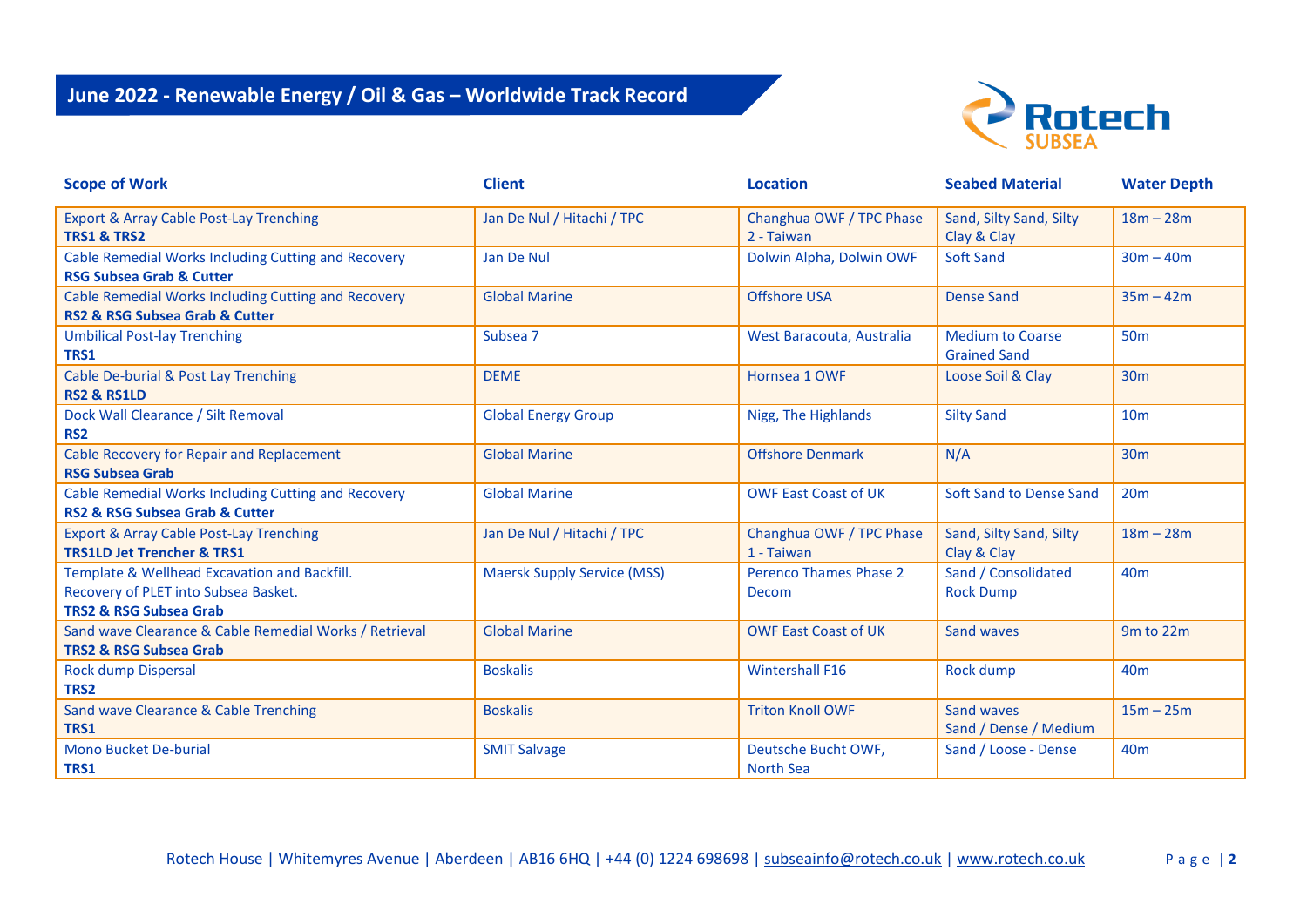

| <b>Scope of Work</b>                                                                                                      | <b>Client</b>                      | <b>Location</b>                         | <b>Seabed Material</b>                         | <b>Water Depth</b> |
|---------------------------------------------------------------------------------------------------------------------------|------------------------------------|-----------------------------------------|------------------------------------------------|--------------------|
| <b>Export &amp; Array Cable Post-Lay Trenching</b><br><b>TRS1 &amp; TRS2</b>                                              | Jan De Nul / Hitachi / TPC         | Changhua OWF / TPC Phase<br>2 - Taiwan  | Sand, Silty Sand, Silty<br>Clay & Clay         | $18m - 28m$        |
| Cable Remedial Works Including Cutting and Recovery<br><b>RSG Subsea Grab &amp; Cutter</b>                                | Jan De Nul                         | Dolwin Alpha, Dolwin OWF                | Soft Sand                                      | $30m - 40m$        |
| Cable Remedial Works Including Cutting and Recovery<br><b>RS2 &amp; RSG Subsea Grab &amp; Cutter</b>                      | <b>Global Marine</b>               | <b>Offshore USA</b>                     | <b>Dense Sand</b>                              | $35m - 42m$        |
| <b>Umbilical Post-lay Trenching</b><br>TRS1                                                                               | Subsea 7                           | West Baracouta, Australia               | <b>Medium to Coarse</b><br><b>Grained Sand</b> | <b>50m</b>         |
| Cable De-burial & Post Lay Trenching<br><b>RS2 &amp; RS1LD</b>                                                            | <b>DEME</b>                        | Hornsea 1 OWF                           | Loose Soil & Clay                              | 30 <sub>m</sub>    |
| Dock Wall Clearance / Silt Removal<br>RS <sub>2</sub>                                                                     | <b>Global Energy Group</b>         | Nigg, The Highlands                     | <b>Silty Sand</b>                              | 10 <sub>m</sub>    |
| Cable Recovery for Repair and Replacement<br><b>RSG Subsea Grab</b>                                                       | <b>Global Marine</b>               | <b>Offshore Denmark</b>                 | N/A                                            | 30 <sub>m</sub>    |
| Cable Remedial Works Including Cutting and Recovery<br><b>RS2 &amp; RSG Subsea Grab &amp; Cutter</b>                      | <b>Global Marine</b>               | <b>OWF East Coast of UK</b>             | Soft Sand to Dense Sand                        | 20m                |
| <b>Export &amp; Array Cable Post-Lay Trenching</b><br><b>TRS1LD Jet Trencher &amp; TRS1</b>                               | Jan De Nul / Hitachi / TPC         | Changhua OWF / TPC Phase<br>1 - Taiwan  | Sand, Silty Sand, Silty<br>Clay & Clay         | $18m - 28m$        |
| Template & Wellhead Excavation and Backfill.<br>Recovery of PLET into Subsea Basket.<br><b>TRS2 &amp; RSG Subsea Grab</b> | <b>Maersk Supply Service (MSS)</b> | Perenco Thames Phase 2<br>Decom         | Sand / Consolidated<br><b>Rock Dump</b>        | 40 <sub>m</sub>    |
| Sand wave Clearance & Cable Remedial Works / Retrieval<br><b>TRS2 &amp; RSG Subsea Grab</b>                               | <b>Global Marine</b>               | <b>OWF East Coast of UK</b>             | Sand waves                                     | 9m to 22m          |
| <b>Rock dump Dispersal</b><br>TRS2                                                                                        | <b>Boskalis</b>                    | <b>Wintershall F16</b>                  | <b>Rock dump</b>                               | 40 <sub>m</sub>    |
| Sand wave Clearance & Cable Trenching<br>TRS1                                                                             | <b>Boskalis</b>                    | <b>Triton Knoll OWF</b>                 | Sand waves<br>Sand / Dense / Medium            | $15m - 25m$        |
| <b>Mono Bucket De-burial</b><br>TRS1                                                                                      | <b>SMIT Salvage</b>                | Deutsche Bucht OWF,<br><b>North Sea</b> | Sand / Loose - Dense                           | 40 <sub>m</sub>    |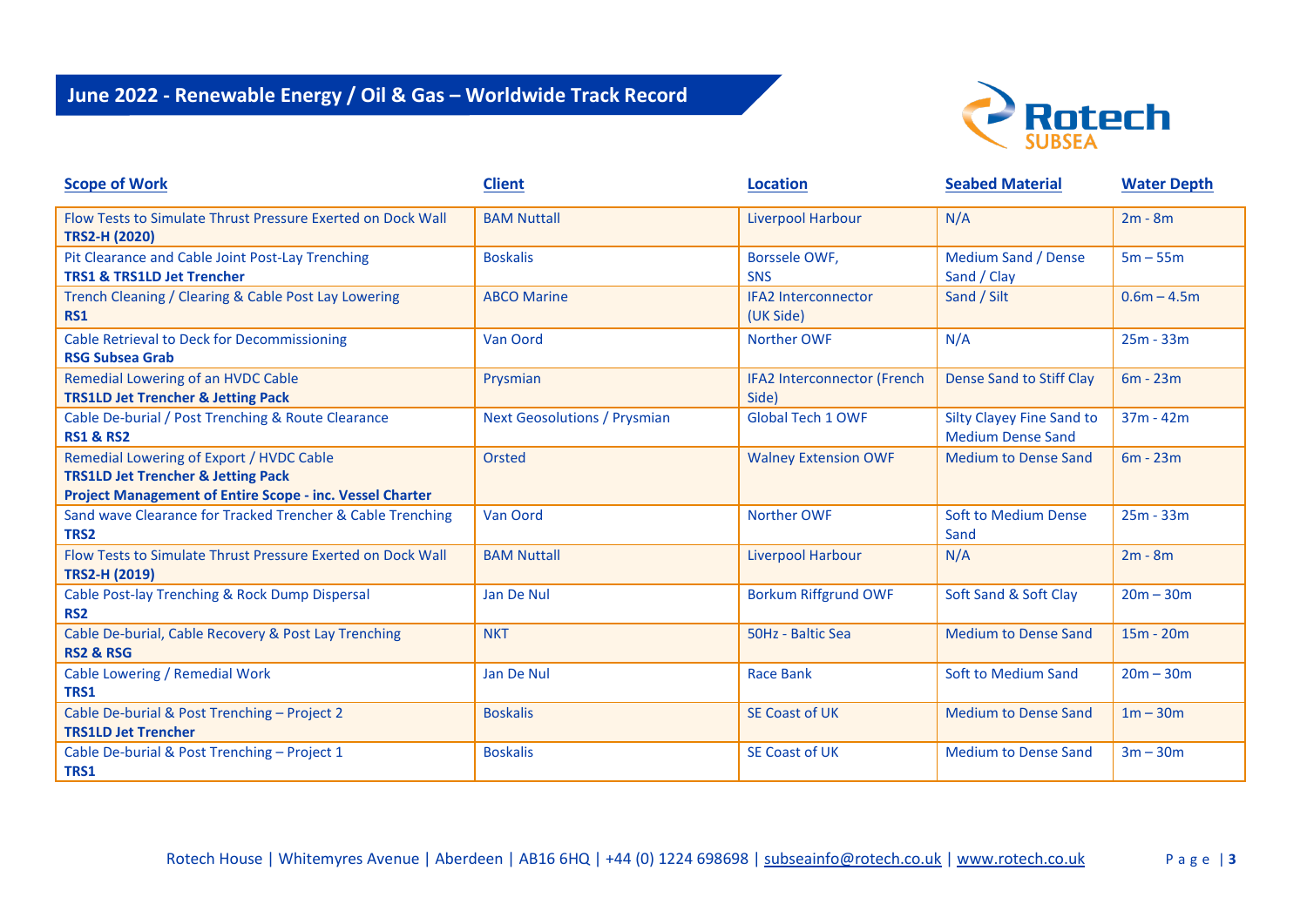

| <b>Scope of Work</b>                                                                                                                                         | <b>Client</b>                       | <b>Location</b>                         | <b>Seabed Material</b>                                       | <b>Water Depth</b> |
|--------------------------------------------------------------------------------------------------------------------------------------------------------------|-------------------------------------|-----------------------------------------|--------------------------------------------------------------|--------------------|
| Flow Tests to Simulate Thrust Pressure Exerted on Dock Wall<br><b>TRS2-H (2020)</b>                                                                          | <b>BAM Nuttall</b>                  | <b>Liverpool Harbour</b>                | N/A                                                          | $2m - 8m$          |
| Pit Clearance and Cable Joint Post-Lay Trenching<br><b>TRS1 &amp; TRS1LD Jet Trencher</b>                                                                    | <b>Boskalis</b>                     | Borssele OWF,<br><b>SNS</b>             | <b>Medium Sand / Dense</b><br>Sand / Clay                    | $5m - 55m$         |
| Trench Cleaning / Clearing & Cable Post Lay Lowering<br><b>RS1</b>                                                                                           | <b>ABCO Marine</b>                  | <b>IFA2 Interconnector</b><br>(UK Side) | Sand / Silt                                                  | $0.6m - 4.5m$      |
| <b>Cable Retrieval to Deck for Decommissioning</b><br><b>RSG Subsea Grab</b>                                                                                 | Van Oord                            | <b>Norther OWF</b>                      | N/A                                                          | $25m - 33m$        |
| Remedial Lowering of an HVDC Cable<br><b>TRS1LD Jet Trencher &amp; Jetting Pack</b>                                                                          | Prysmian                            | IFA2 Interconnector (French<br>Side)    | <b>Dense Sand to Stiff Clay</b>                              | $6m - 23m$         |
| Cable De-burial / Post Trenching & Route Clearance<br><b>RS1 &amp; RS2</b>                                                                                   | <b>Next Geosolutions / Prysmian</b> | <b>Global Tech 1 OWF</b>                | <b>Silty Clayey Fine Sand to</b><br><b>Medium Dense Sand</b> | $37m - 42m$        |
| Remedial Lowering of Export / HVDC Cable<br><b>TRS1LD Jet Trencher &amp; Jetting Pack</b><br><b>Project Management of Entire Scope - inc. Vessel Charter</b> | Orsted                              | <b>Walney Extension OWF</b>             | <b>Medium to Dense Sand</b>                                  | $6m - 23m$         |
| Sand wave Clearance for Tracked Trencher & Cable Trenching<br>TRS2                                                                                           | Van Oord                            | <b>Norther OWF</b>                      | <b>Soft to Medium Dense</b><br>Sand                          | $25m - 33m$        |
| Flow Tests to Simulate Thrust Pressure Exerted on Dock Wall<br><b>TRS2-H (2019)</b>                                                                          | <b>BAM Nuttall</b>                  | <b>Liverpool Harbour</b>                | N/A                                                          | $2m - 8m$          |
| Cable Post-lay Trenching & Rock Dump Dispersal<br>RS <sub>2</sub>                                                                                            | Jan De Nul                          | <b>Borkum Riffgrund OWF</b>             | Soft Sand & Soft Clay                                        | $20m - 30m$        |
| Cable De-burial, Cable Recovery & Post Lay Trenching<br><b>RS2 &amp; RSG</b>                                                                                 | <b>NKT</b>                          | 50Hz - Baltic Sea                       | <b>Medium to Dense Sand</b>                                  | $15m - 20m$        |
| Cable Lowering / Remedial Work<br>TRS1                                                                                                                       | Jan De Nul                          | <b>Race Bank</b>                        | Soft to Medium Sand                                          | $20m - 30m$        |
| Cable De-burial & Post Trenching - Project 2<br><b>TRS1LD Jet Trencher</b>                                                                                   | <b>Boskalis</b>                     | SE Coast of UK                          | <b>Medium to Dense Sand</b>                                  | $1m - 30m$         |
| Cable De-burial & Post Trenching - Project 1<br>TRS1                                                                                                         | <b>Boskalis</b>                     | SE Coast of UK                          | <b>Medium to Dense Sand</b>                                  | $3m - 30m$         |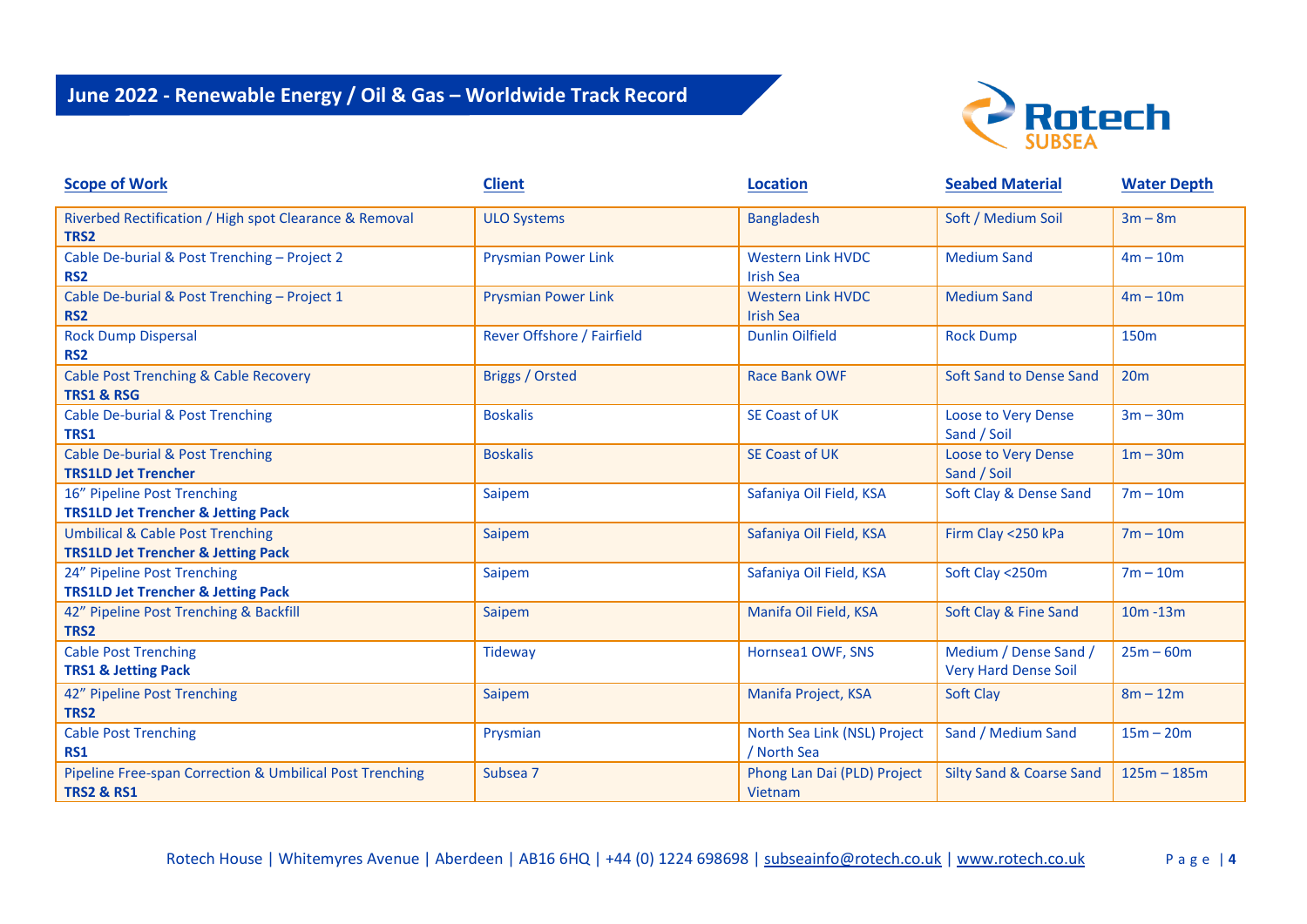

| <b>Scope of Work</b>                                                                         | <b>Client</b>              | <b>Location</b>                              | <b>Seabed Material</b>                               | <b>Water Depth</b> |
|----------------------------------------------------------------------------------------------|----------------------------|----------------------------------------------|------------------------------------------------------|--------------------|
| Riverbed Rectification / High spot Clearance & Removal<br>TRS2                               | <b>ULO Systems</b>         | <b>Bangladesh</b>                            | Soft / Medium Soil                                   | $3m - 8m$          |
| Cable De-burial & Post Trenching - Project 2<br><b>RS2</b>                                   | <b>Prysmian Power Link</b> | <b>Western Link HVDC</b><br><b>Irish Sea</b> | <b>Medium Sand</b>                                   | $4m - 10m$         |
| Cable De-burial & Post Trenching - Project 1<br>RS <sub>2</sub>                              | <b>Prysmian Power Link</b> | <b>Western Link HVDC</b><br><b>Irish Sea</b> | <b>Medium Sand</b>                                   | $4m - 10m$         |
| <b>Rock Dump Dispersal</b><br>RS <sub>2</sub>                                                | Rever Offshore / Fairfield | <b>Dunlin Oilfield</b>                       | <b>Rock Dump</b>                                     | 150 <sub>m</sub>   |
| <b>Cable Post Trenching &amp; Cable Recovery</b><br><b>TRS1 &amp; RSG</b>                    | Briggs / Orsted            | Race Bank OWF                                | Soft Sand to Dense Sand                              | 20m                |
| <b>Cable De-burial &amp; Post Trenching</b><br>TRS1                                          | <b>Boskalis</b>            | <b>SE Coast of UK</b>                        | <b>Loose to Very Dense</b><br>Sand / Soil            | $3m - 30m$         |
| <b>Cable De-burial &amp; Post Trenching</b><br><b>TRS1LD Jet Trencher</b>                    | <b>Boskalis</b>            | <b>SE Coast of UK</b>                        | <b>Loose to Very Dense</b><br>Sand / Soil            | $1m - 30m$         |
| 16" Pipeline Post Trenching<br><b>TRS1LD Jet Trencher &amp; Jetting Pack</b>                 | Saipem                     | Safaniya Oil Field, KSA                      | Soft Clay & Dense Sand                               | $7m - 10m$         |
| <b>Umbilical &amp; Cable Post Trenching</b><br><b>TRS1LD Jet Trencher &amp; Jetting Pack</b> | Saipem                     | Safaniya Oil Field, KSA                      | Firm Clay <250 kPa                                   | $7m - 10m$         |
| 24" Pipeline Post Trenching<br><b>TRS1LD Jet Trencher &amp; Jetting Pack</b>                 | Saipem                     | Safaniya Oil Field, KSA                      | Soft Clay <250m                                      | $7m - 10m$         |
| 42" Pipeline Post Trenching & Backfill<br>TRS2                                               | Saipem                     | Manifa Oil Field, KSA                        | Soft Clay & Fine Sand                                | $10m - 13m$        |
| <b>Cable Post Trenching</b><br><b>TRS1 &amp; Jetting Pack</b>                                | <b>Tideway</b>             | Hornsea1 OWF, SNS                            | Medium / Dense Sand /<br><b>Very Hard Dense Soil</b> | $25m - 60m$        |
| 42" Pipeline Post Trenching<br>TRS <sub>2</sub>                                              | Saipem                     | Manifa Project, KSA                          | <b>Soft Clay</b>                                     | $8m - 12m$         |
| <b>Cable Post Trenching</b><br><b>RS1</b>                                                    | Prysmian                   | North Sea Link (NSL) Project<br>/ North Sea  | Sand / Medium Sand                                   | $15m - 20m$        |
| Pipeline Free-span Correction & Umbilical Post Trenching<br><b>TRS2 &amp; RS1</b>            | Subsea 7                   | Phong Lan Dai (PLD) Project<br>Vietnam       | <b>Silty Sand &amp; Coarse Sand</b>                  | $125m - 185m$      |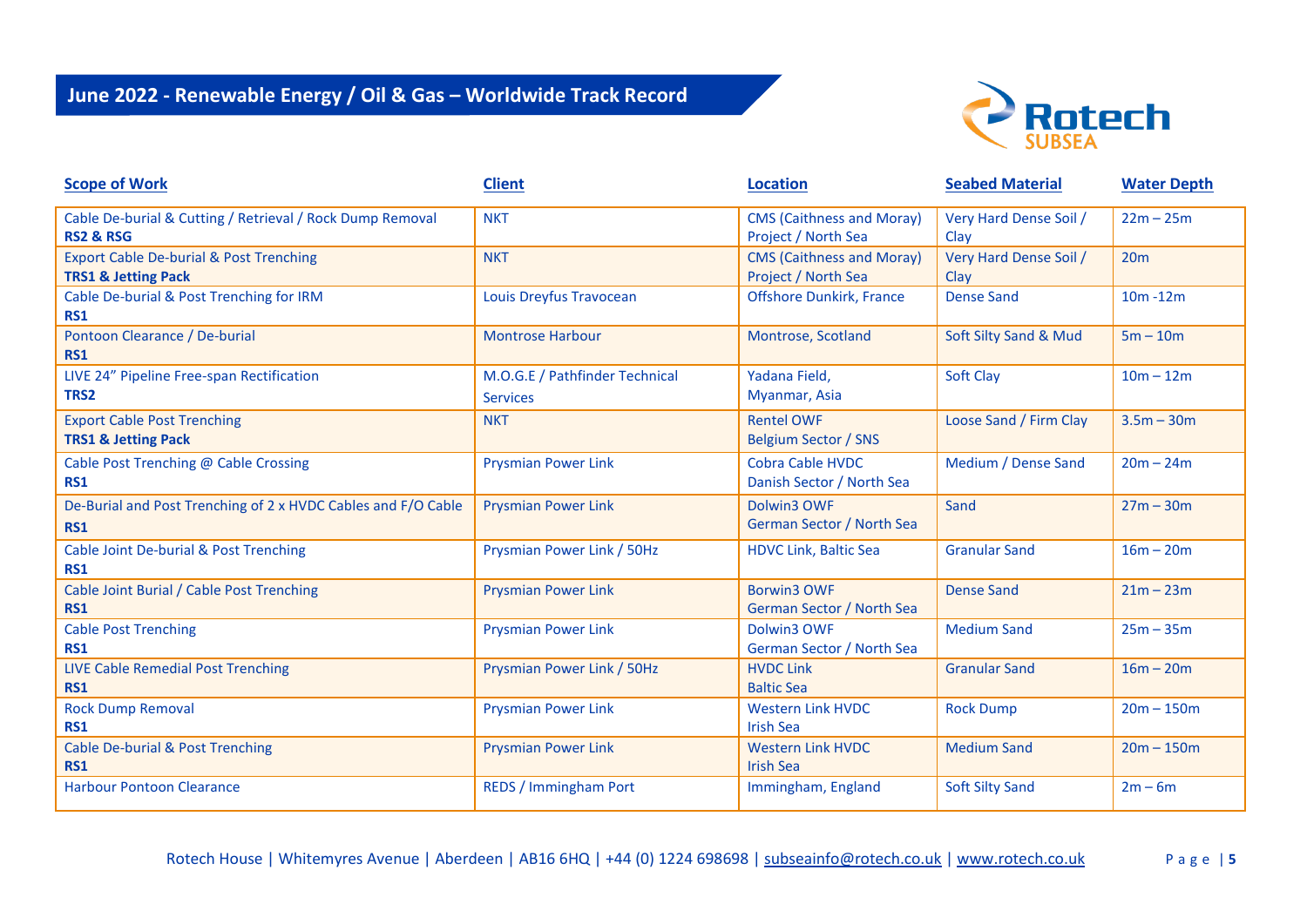

| <b>Scope of Work</b>                                                                 | <b>Client</b>                                     | <b>Location</b>                                         | <b>Seabed Material</b>         | <b>Water Depth</b> |
|--------------------------------------------------------------------------------------|---------------------------------------------------|---------------------------------------------------------|--------------------------------|--------------------|
| Cable De-burial & Cutting / Retrieval / Rock Dump Removal<br><b>RS2 &amp; RSG</b>    | <b>NKT</b>                                        | <b>CMS (Caithness and Moray)</b><br>Project / North Sea | Very Hard Dense Soil /<br>Clay | $22m - 25m$        |
| <b>Export Cable De-burial &amp; Post Trenching</b><br><b>TRS1 &amp; Jetting Pack</b> | <b>NKT</b>                                        | <b>CMS (Caithness and Moray)</b><br>Project / North Sea | Very Hard Dense Soil /<br>Clay | 20m                |
| Cable De-burial & Post Trenching for IRM<br><b>RS1</b>                               | Louis Dreyfus Travocean                           | <b>Offshore Dunkirk, France</b>                         | <b>Dense Sand</b>              | $10m - 12m$        |
| Pontoon Clearance / De-burial<br><b>RS1</b>                                          | <b>Montrose Harbour</b>                           | Montrose, Scotland                                      | Soft Silty Sand & Mud          | $5m - 10m$         |
| LIVE 24" Pipeline Free-span Rectification<br>TRS2                                    | M.O.G.E / Pathfinder Technical<br><b>Services</b> | Yadana Field,<br>Myanmar, Asia                          | Soft Clay                      | $10m - 12m$        |
| <b>Export Cable Post Trenching</b><br><b>TRS1 &amp; Jetting Pack</b>                 | <b>NKT</b>                                        | <b>Rentel OWF</b><br><b>Belgium Sector / SNS</b>        | Loose Sand / Firm Clay         | $3.5m - 30m$       |
| Cable Post Trenching @ Cable Crossing<br><b>RS1</b>                                  | <b>Prysmian Power Link</b>                        | <b>Cobra Cable HVDC</b><br>Danish Sector / North Sea    | Medium / Dense Sand            | $20m - 24m$        |
| De-Burial and Post Trenching of 2 x HVDC Cables and F/O Cable<br><b>RS1</b>          | <b>Prysmian Power Link</b>                        | Dolwin3 OWF<br>German Sector / North Sea                | Sand                           | $27m - 30m$        |
| Cable Joint De-burial & Post Trenching<br><b>RS1</b>                                 | Prysmian Power Link / 50Hz                        | <b>HDVC Link, Baltic Sea</b>                            | <b>Granular Sand</b>           | $16m - 20m$        |
| Cable Joint Burial / Cable Post Trenching<br><b>RS1</b>                              | <b>Prysmian Power Link</b>                        | <b>Borwin3 OWF</b><br>German Sector / North Sea         | <b>Dense Sand</b>              | $21m - 23m$        |
| <b>Cable Post Trenching</b><br><b>RS1</b>                                            | <b>Prysmian Power Link</b>                        | Dolwin3 OWF<br>German Sector / North Sea                | <b>Medium Sand</b>             | $25m - 35m$        |
| <b>LIVE Cable Remedial Post Trenching</b><br><b>RS1</b>                              | Prysmian Power Link / 50Hz                        | <b>HVDC Link</b><br><b>Baltic Sea</b>                   | <b>Granular Sand</b>           | $16m - 20m$        |
| <b>Rock Dump Removal</b><br><b>RS1</b>                                               | <b>Prysmian Power Link</b>                        | <b>Western Link HVDC</b><br><b>Irish Sea</b>            | <b>Rock Dump</b>               | $20m - 150m$       |
| <b>Cable De-burial &amp; Post Trenching</b><br><b>RS1</b>                            | <b>Prysmian Power Link</b>                        | <b>Western Link HVDC</b><br><b>Irish Sea</b>            | <b>Medium Sand</b>             | $20m - 150m$       |
| <b>Harbour Pontoon Clearance</b>                                                     | <b>REDS / Immingham Port</b>                      | Immingham, England                                      | <b>Soft Silty Sand</b>         | $2m - 6m$          |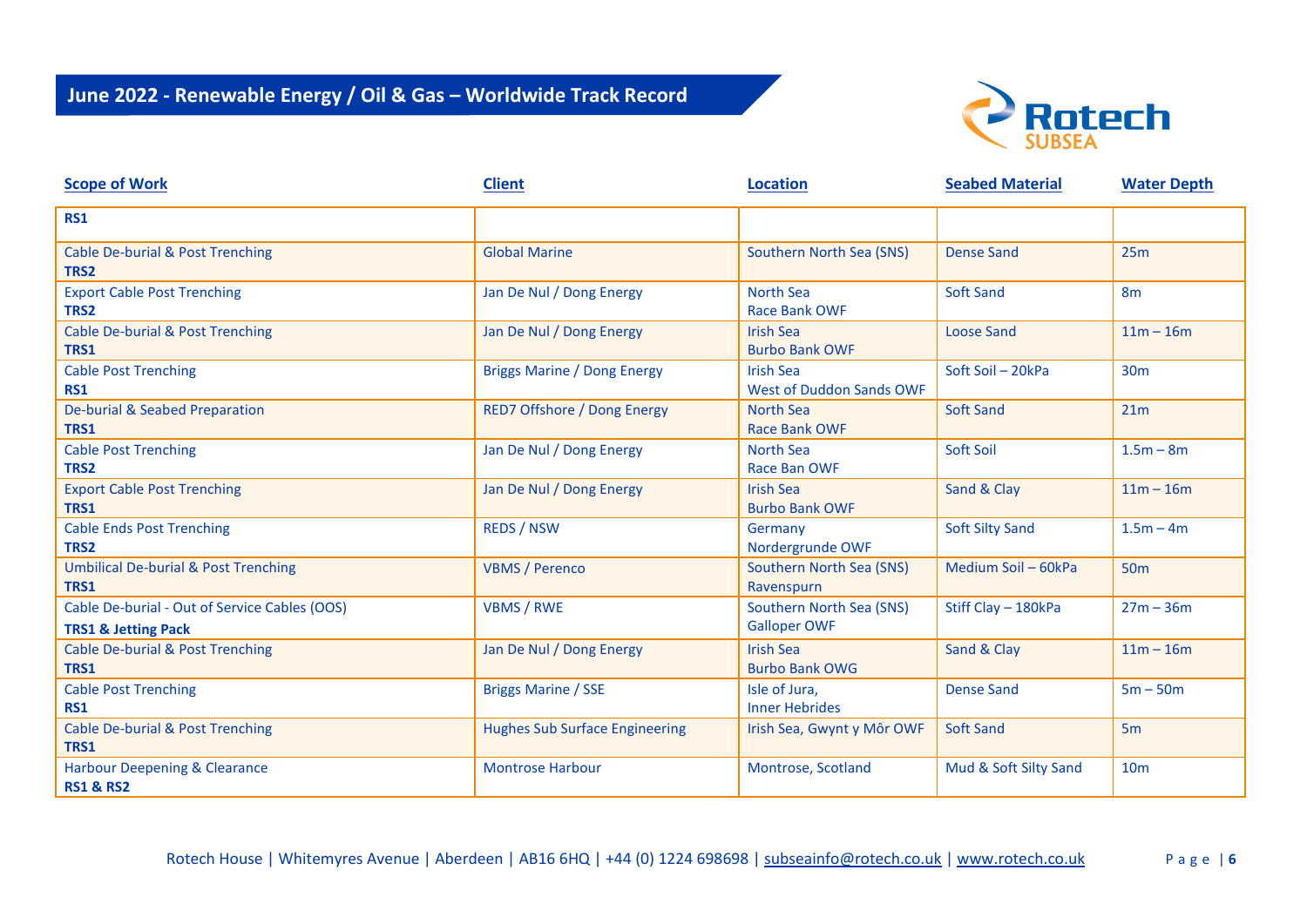

| <b>Scope of Work</b>                                                            | <b>Client</b>                         | <b>Location</b>                                     | <b>Seabed Material</b> | <b>Water Depth</b> |
|---------------------------------------------------------------------------------|---------------------------------------|-----------------------------------------------------|------------------------|--------------------|
| <b>RS1</b>                                                                      |                                       |                                                     |                        |                    |
| Cable De-burial & Post Trenching<br>TRS2                                        | <b>Global Marine</b>                  | Southern North Sea (SNS)                            | <b>Dense Sand</b>      | 25m                |
| <b>Export Cable Post Trenching</b><br>TRS2                                      | Jan De Nul / Dong Energy              | North Sea<br><b>Race Bank OWF</b>                   | <b>Soft Sand</b>       | 8 <sub>m</sub>     |
| <b>Cable De-burial &amp; Post Trenching</b><br>TRS1                             | Jan De Nul / Dong Energy              | <b>Irish Sea</b><br><b>Burbo Bank OWF</b>           | <b>Loose Sand</b>      | $11m - 16m$        |
| <b>Cable Post Trenching</b><br><b>RS1</b>                                       | <b>Briggs Marine / Dong Energy</b>    | <b>Irish Sea</b><br><b>West of Duddon Sands OWF</b> | Soft Soil - 20kPa      | 30 <sub>m</sub>    |
| De-burial & Seabed Preparation<br>TRS1                                          | <b>RED7 Offshore / Dong Energy</b>    | <b>North Sea</b><br><b>Race Bank OWF</b>            | <b>Soft Sand</b>       | 21m                |
| <b>Cable Post Trenching</b><br>TRS2                                             | Jan De Nul / Dong Energy              | <b>North Sea</b><br><b>Race Ban OWF</b>             | Soft Soil              | $1.5m - 8m$        |
| <b>Export Cable Post Trenching</b><br>TRS1                                      | Jan De Nul / Dong Energy              | <b>Irish Sea</b><br><b>Burbo Bank OWF</b>           | Sand & Clay            | $11m - 16m$        |
| <b>Cable Ends Post Trenching</b><br>TRS2                                        | <b>REDS / NSW</b>                     | Germany<br>Nordergrunde OWF                         | <b>Soft Silty Sand</b> | $1.5m - 4m$        |
| <b>Umbilical De-burial &amp; Post Trenching</b><br>TRS1                         | <b>VBMS / Perenco</b>                 | Southern North Sea (SNS)<br>Ravenspurn              | Medium Soil - 60kPa    | 50 <sub>m</sub>    |
| Cable De-burial - Out of Service Cables (OOS)<br><b>TRS1 &amp; Jetting Pack</b> | <b>VBMS / RWE</b>                     | Southern North Sea (SNS)<br><b>Galloper OWF</b>     | Stiff Clay - 180kPa    | $27m - 36m$        |
| Cable De-burial & Post Trenching<br>TRS1                                        | Jan De Nul / Dong Energy              | <b>Irish Sea</b><br><b>Burbo Bank OWG</b>           | Sand & Clay            | $11m - 16m$        |
| <b>Cable Post Trenching</b><br><b>RS1</b>                                       | <b>Briggs Marine / SSE</b>            | Isle of Jura,<br><b>Inner Hebrides</b>              | <b>Dense Sand</b>      | $5m - 50m$         |
| <b>Cable De-burial &amp; Post Trenching</b><br>TRS1                             | <b>Hughes Sub Surface Engineering</b> | Irish Sea, Gwynt y Môr OWF                          | <b>Soft Sand</b>       | 5 <sub>m</sub>     |
| <b>Harbour Deepening &amp; Clearance</b><br><b>RS1 &amp; RS2</b>                | <b>Montrose Harbour</b>               | Montrose, Scotland                                  | Mud & Soft Silty Sand  | 10 <sub>m</sub>    |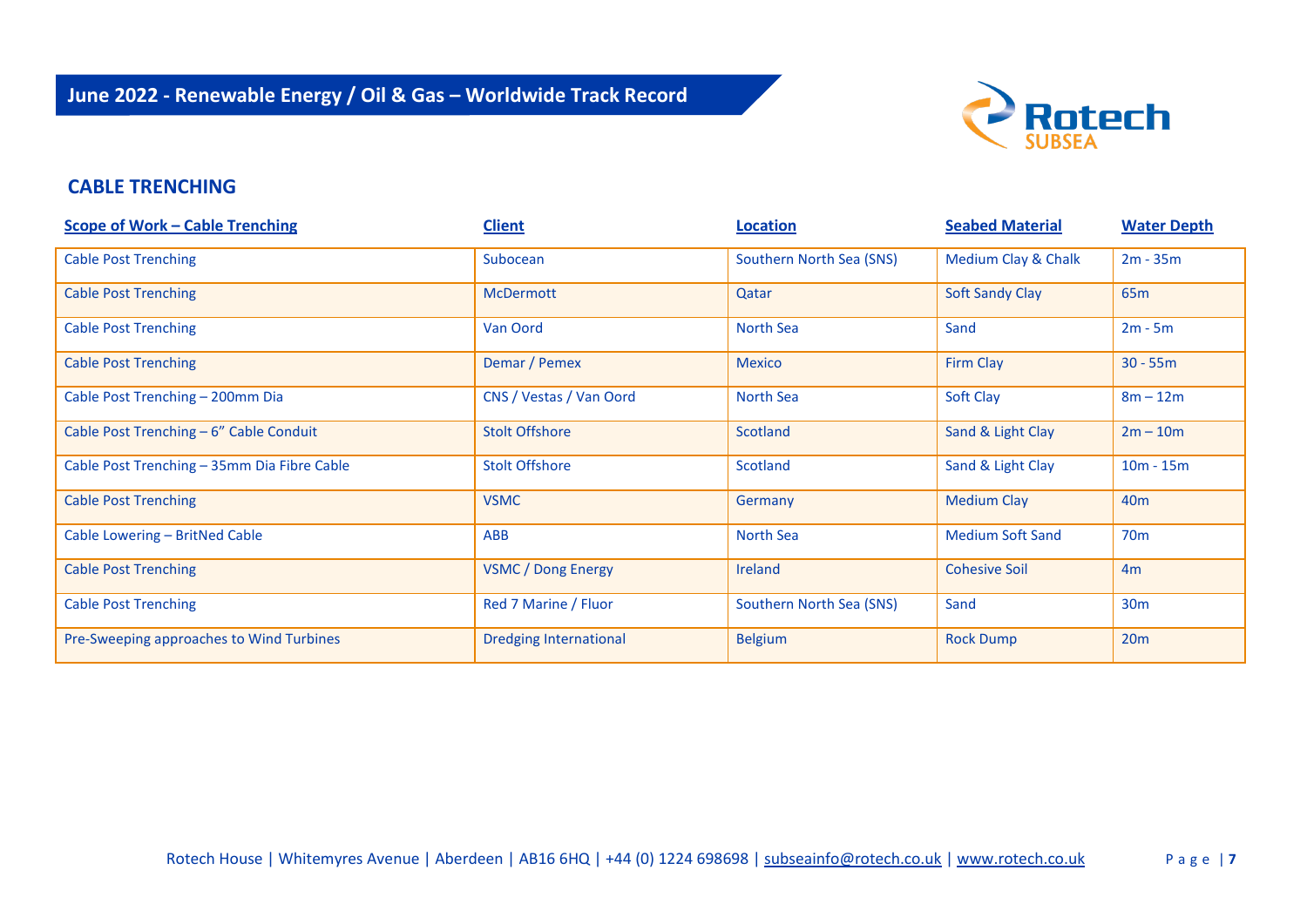

#### **CABLE TRENCHING**

| <b>Scope of Work - Cable Trenching</b>      | <b>Client</b>                 | <b>Location</b>          | <b>Seabed Material</b>  | <b>Water Depth</b> |
|---------------------------------------------|-------------------------------|--------------------------|-------------------------|--------------------|
| <b>Cable Post Trenching</b>                 | Subocean                      | Southern North Sea (SNS) | Medium Clay & Chalk     | $2m - 35m$         |
| <b>Cable Post Trenching</b>                 | <b>McDermott</b>              | Qatar                    | <b>Soft Sandy Clay</b>  | 65 <sub>m</sub>    |
| <b>Cable Post Trenching</b>                 | Van Oord                      | North Sea                | Sand                    | $2m - 5m$          |
| <b>Cable Post Trenching</b>                 | Demar / Pemex                 | <b>Mexico</b>            | Firm Clay               | $30 - 55m$         |
| Cable Post Trenching - 200mm Dia            | CNS / Vestas / Van Oord       | North Sea                | Soft Clay               | $8m - 12m$         |
| Cable Post Trenching - 6" Cable Conduit     | <b>Stolt Offshore</b>         | Scotland                 | Sand & Light Clay       | $2m - 10m$         |
| Cable Post Trenching - 35mm Dia Fibre Cable | <b>Stolt Offshore</b>         | Scotland                 | Sand & Light Clay       | $10m - 15m$        |
| <b>Cable Post Trenching</b>                 | <b>VSMC</b>                   | Germany                  | <b>Medium Clay</b>      | 40 <sub>m</sub>    |
| Cable Lowering - BritNed Cable              | <b>ABB</b>                    | North Sea                | <b>Medium Soft Sand</b> | 70 <sub>m</sub>    |
| <b>Cable Post Trenching</b>                 | <b>VSMC / Dong Energy</b>     | <b>Ireland</b>           | <b>Cohesive Soil</b>    | 4m                 |
| <b>Cable Post Trenching</b>                 | Red 7 Marine / Fluor          | Southern North Sea (SNS) | Sand                    | 30 <sub>m</sub>    |
| Pre-Sweeping approaches to Wind Turbines    | <b>Dredging International</b> | <b>Belgium</b>           | <b>Rock Dump</b>        | 20m                |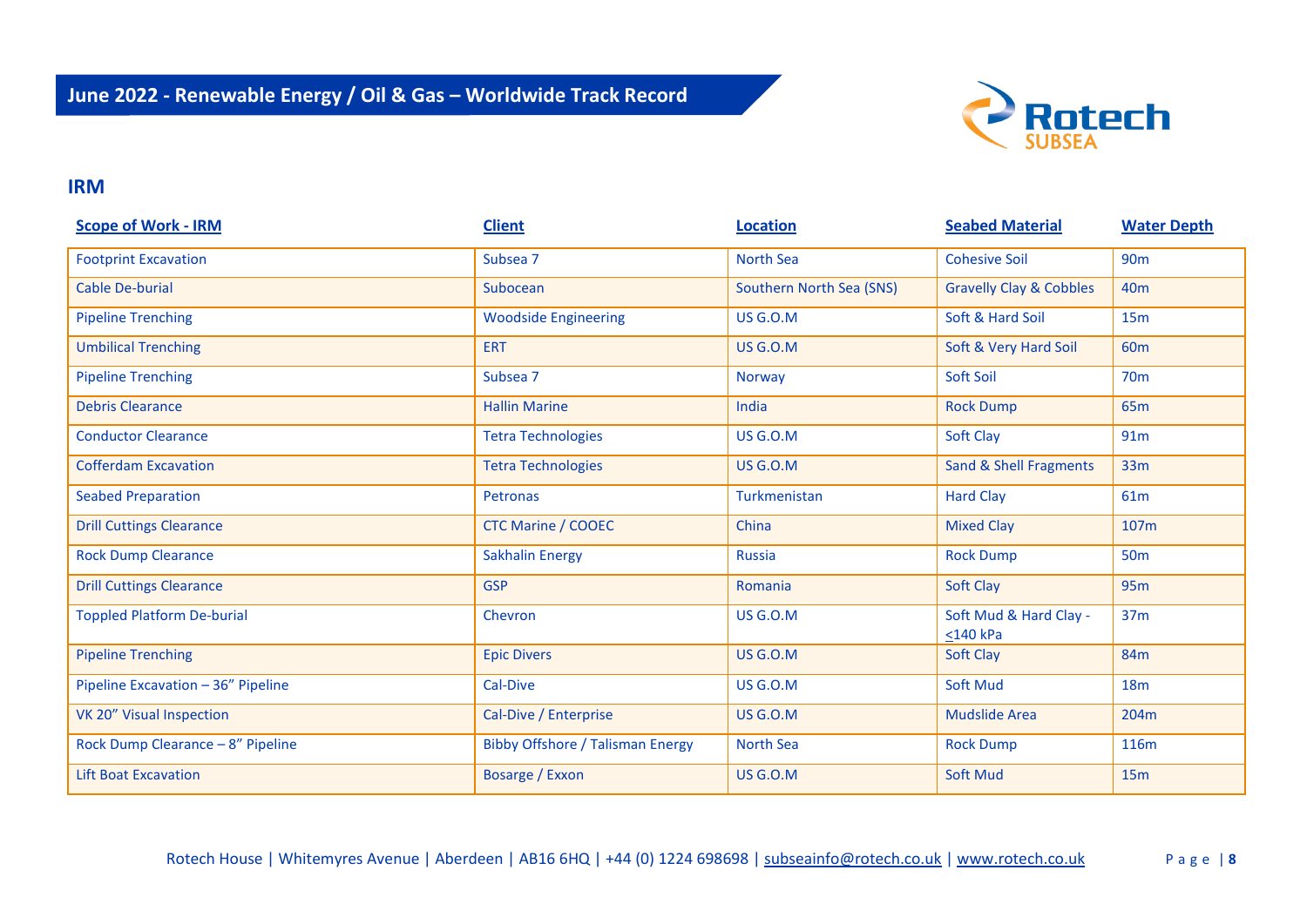

#### **IRM**

| <b>Scope of Work - IRM</b>         | <b>Client</b>                           | <b>Location</b>          | <b>Seabed Material</b>                   | <b>Water Depth</b> |
|------------------------------------|-----------------------------------------|--------------------------|------------------------------------------|--------------------|
| <b>Footprint Excavation</b>        | Subsea 7                                | <b>North Sea</b>         | <b>Cohesive Soil</b>                     | <b>90m</b>         |
| <b>Cable De-burial</b>             | Subocean                                | Southern North Sea (SNS) | <b>Gravelly Clay &amp; Cobbles</b>       | 40 <sub>m</sub>    |
| <b>Pipeline Trenching</b>          | <b>Woodside Engineering</b>             | <b>US G.O.M</b>          | Soft & Hard Soil                         | 15m                |
| <b>Umbilical Trenching</b>         | <b>ERT</b>                              | <b>US G.O.M</b>          | Soft & Very Hard Soil                    | 60 <sub>m</sub>    |
| <b>Pipeline Trenching</b>          | Subsea 7                                | Norway                   | Soft Soil                                | <b>70m</b>         |
| <b>Debris Clearance</b>            | <b>Hallin Marine</b>                    | India                    | <b>Rock Dump</b>                         | 65 <sub>m</sub>    |
| <b>Conductor Clearance</b>         | <b>Tetra Technologies</b>               | <b>US G.O.M</b>          | Soft Clay                                | 91m                |
| <b>Cofferdam Excavation</b>        | <b>Tetra Technologies</b>               | US G.O.M                 | <b>Sand &amp; Shell Fragments</b>        | 33m                |
| <b>Seabed Preparation</b>          | Petronas                                | Turkmenistan             | <b>Hard Clay</b>                         | 61m                |
| <b>Drill Cuttings Clearance</b>    | <b>CTC Marine / COOEC</b>               | China                    | <b>Mixed Clay</b>                        | 107m               |
| <b>Rock Dump Clearance</b>         | <b>Sakhalin Energy</b>                  | Russia                   | <b>Rock Dump</b>                         | <b>50m</b>         |
| <b>Drill Cuttings Clearance</b>    | <b>GSP</b>                              | Romania                  | Soft Clay                                | 95 <sub>m</sub>    |
| <b>Toppled Platform De-burial</b>  | Chevron                                 | <b>US G.O.M</b>          | Soft Mud & Hard Clay -<br>$<$ 140 $k$ Pa | 37 <sub>m</sub>    |
| <b>Pipeline Trenching</b>          | <b>Epic Divers</b>                      | <b>US G.O.M</b>          | Soft Clay                                | 84m                |
| Pipeline Excavation - 36" Pipeline | Cal-Dive                                | <b>US G.O.M</b>          | <b>Soft Mud</b>                          | <b>18m</b>         |
| VK 20" Visual Inspection           | Cal-Dive / Enterprise                   | <b>US G.O.M</b>          | <b>Mudslide Area</b>                     | 204m               |
| Rock Dump Clearance - 8" Pipeline  | <b>Bibby Offshore / Talisman Energy</b> | <b>North Sea</b>         | <b>Rock Dump</b>                         | <b>116m</b>        |
| <b>Lift Boat Excavation</b>        | Bosarge / Exxon                         | <b>US G.O.M</b>          | <b>Soft Mud</b>                          | 15m                |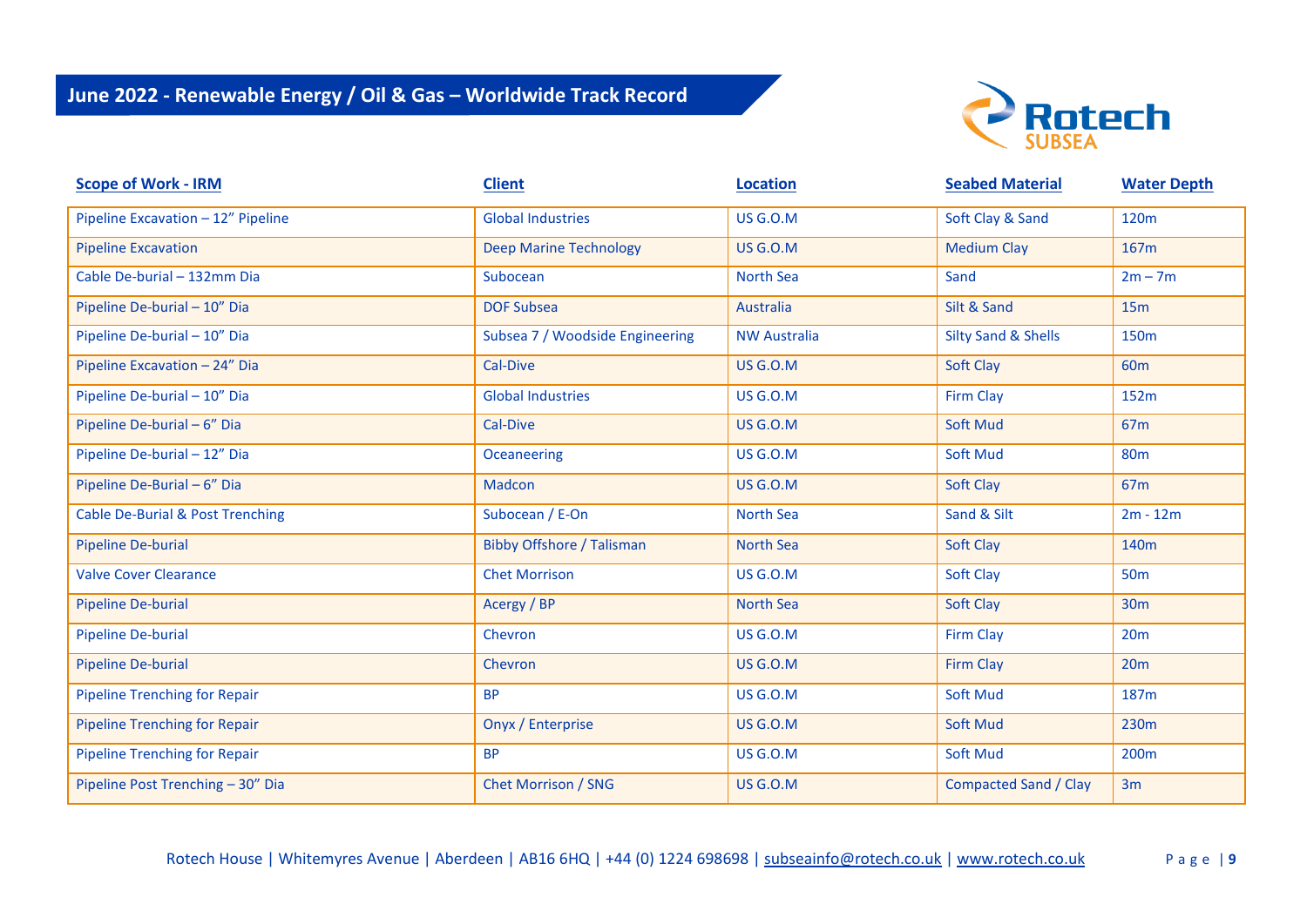

| <b>Scope of Work - IRM</b>                  | <b>Client</b>                    | <b>Location</b>     | <b>Seabed Material</b>         | <b>Water Depth</b> |
|---------------------------------------------|----------------------------------|---------------------|--------------------------------|--------------------|
| Pipeline Excavation - 12" Pipeline          | <b>Global Industries</b>         | <b>US G.O.M</b>     | Soft Clay & Sand               | 120m               |
| <b>Pipeline Excavation</b>                  | <b>Deep Marine Technology</b>    | <b>US G.O.M</b>     | <b>Medium Clay</b>             | 167m               |
| Cable De-burial - 132mm Dia                 | Subocean                         | <b>North Sea</b>    | Sand                           | $2m - 7m$          |
| Pipeline De-burial - 10" Dia                | <b>DOF Subsea</b>                | Australia           | Silt & Sand                    | 15m                |
| Pipeline De-burial - 10" Dia                | Subsea 7 / Woodside Engineering  | <b>NW Australia</b> | <b>Silty Sand &amp; Shells</b> | 150m               |
| Pipeline Excavation - 24" Dia               | Cal-Dive                         | <b>US G.O.M</b>     | Soft Clay                      | 60 <sub>m</sub>    |
| Pipeline De-burial - 10" Dia                | <b>Global Industries</b>         | <b>US G.O.M</b>     | <b>Firm Clay</b>               | 152m               |
| Pipeline De-burial - 6" Dia                 | Cal-Dive                         | <b>US G.O.M</b>     | Soft Mud                       | 67 <sub>m</sub>    |
| Pipeline De-burial - 12" Dia                | Oceaneering                      | <b>US G.O.M</b>     | Soft Mud                       | <b>80m</b>         |
| Pipeline De-Burial - 6" Dia                 | Madcon                           | <b>US G.O.M</b>     | Soft Clay                      | 67 <sub>m</sub>    |
| <b>Cable De-Burial &amp; Post Trenching</b> | Subocean / E-On                  | <b>North Sea</b>    | Sand & Silt                    | $2m - 12m$         |
| <b>Pipeline De-burial</b>                   | <b>Bibby Offshore / Talisman</b> | <b>North Sea</b>    | Soft Clay                      | 140 <sub>m</sub>   |
| <b>Valve Cover Clearance</b>                | <b>Chet Morrison</b>             | <b>US G.O.M</b>     | Soft Clay                      | <b>50m</b>         |
| Pipeline De-burial                          | Acergy / BP                      | <b>North Sea</b>    | Soft Clay                      | <b>30m</b>         |
| <b>Pipeline De-burial</b>                   | Chevron                          | <b>US G.O.M</b>     | <b>Firm Clay</b>               | 20m                |
| <b>Pipeline De-burial</b>                   | Chevron                          | <b>US G.O.M</b>     | <b>Firm Clay</b>               | 20 <sub>m</sub>    |
| <b>Pipeline Trenching for Repair</b>        | <b>BP</b>                        | <b>US G.O.M</b>     | <b>Soft Mud</b>                | 187m               |
| <b>Pipeline Trenching for Repair</b>        | Onyx / Enterprise                | <b>US G.O.M</b>     | Soft Mud                       | 230m               |
| <b>Pipeline Trenching for Repair</b>        | <b>BP</b>                        | <b>US G.O.M</b>     | Soft Mud                       | 200 <sub>m</sub>   |
| Pipeline Post Trenching - 30" Dia           | <b>Chet Morrison / SNG</b>       | <b>US G.O.M</b>     | <b>Compacted Sand / Clay</b>   | 3m                 |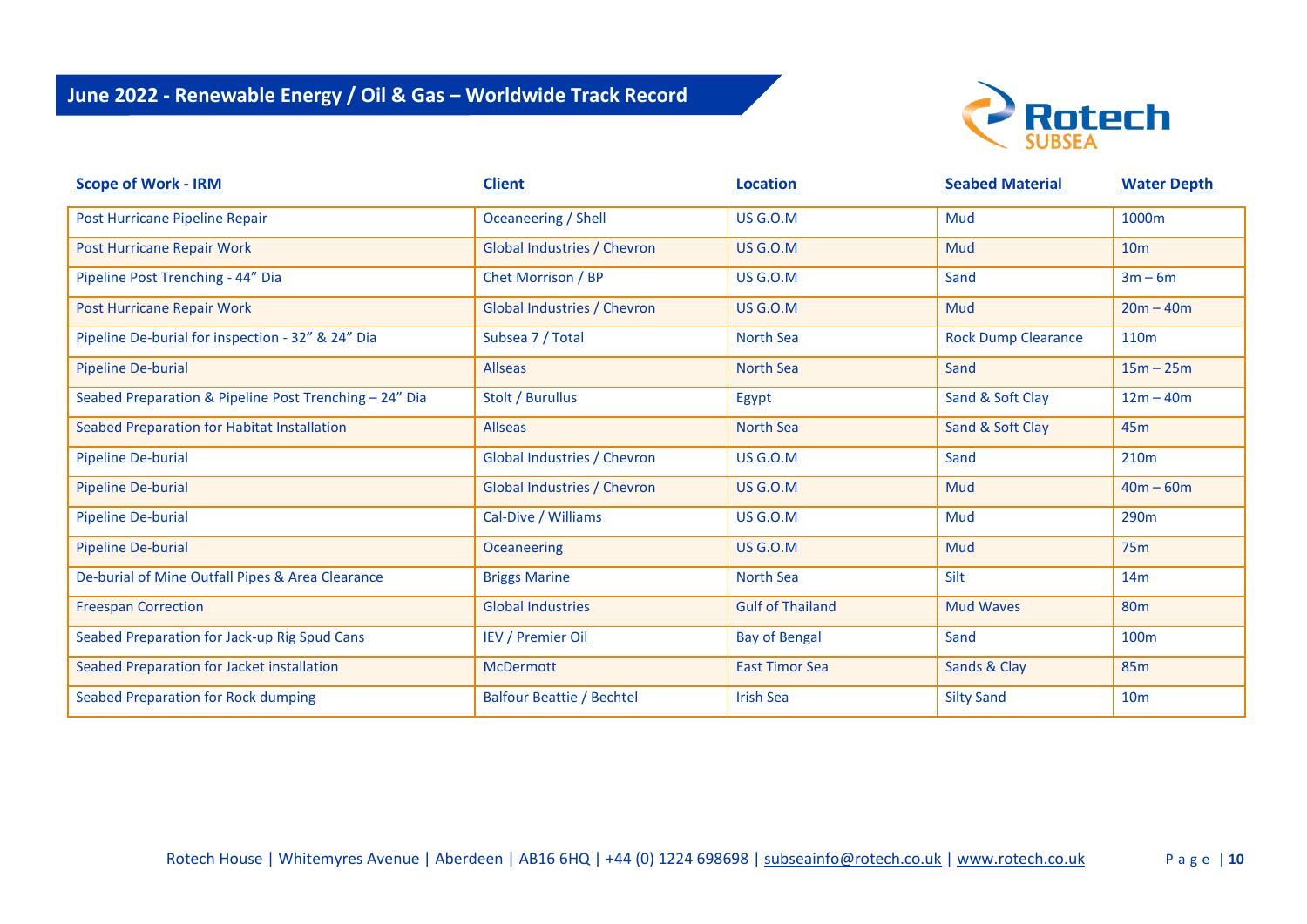

| <b>Scope of Work - IRM</b>                             | <b>Client</b>                      | <b>Location</b>         | <b>Seabed Material</b>     | <b>Water Depth</b> |
|--------------------------------------------------------|------------------------------------|-------------------------|----------------------------|--------------------|
| Post Hurricane Pipeline Repair                         | Oceaneering / Shell                | <b>US G.O.M</b>         | Mud                        | 1000m              |
| Post Hurricane Repair Work                             | Global Industries / Chevron        | <b>US G.O.M</b>         | Mud                        | 10 <sub>m</sub>    |
| Pipeline Post Trenching - 44" Dia                      | Chet Morrison / BP                 | <b>US G.O.M</b>         | Sand                       | $3m - 6m$          |
| Post Hurricane Repair Work                             | <b>Global Industries / Chevron</b> | <b>US G.O.M</b>         | Mud                        | $20m - 40m$        |
| Pipeline De-burial for inspection - 32" & 24" Dia      | Subsea 7 / Total                   | <b>North Sea</b>        | <b>Rock Dump Clearance</b> | 110 <sub>m</sub>   |
| <b>Pipeline De-burial</b>                              | <b>Allseas</b>                     | <b>North Sea</b>        | Sand                       | $15m - 25m$        |
| Seabed Preparation & Pipeline Post Trenching - 24" Dia | Stolt / Burullus                   | Egypt                   | Sand & Soft Clay           | $12m - 40m$        |
| Seabed Preparation for Habitat Installation            | <b>Allseas</b>                     | <b>North Sea</b>        | Sand & Soft Clay           | 45 <sub>m</sub>    |
| <b>Pipeline De-burial</b>                              | Global Industries / Chevron        | <b>US G.O.M</b>         | Sand                       | 210 <sub>m</sub>   |
| <b>Pipeline De-burial</b>                              | <b>Global Industries / Chevron</b> | <b>US G.O.M</b>         | Mud                        | $40m - 60m$        |
| <b>Pipeline De-burial</b>                              | Cal-Dive / Williams                | <b>US G.O.M</b>         | Mud                        | 290 <sub>m</sub>   |
| Pipeline De-burial                                     | <b>Oceaneering</b>                 | <b>US G.O.M</b>         | Mud                        | 75m                |
| De-burial of Mine Outfall Pipes & Area Clearance       | <b>Briggs Marine</b>               | <b>North Sea</b>        | Silt                       | 14m                |
| <b>Freespan Correction</b>                             | <b>Global Industries</b>           | <b>Gulf of Thailand</b> | <b>Mud Waves</b>           | 80 <sub>m</sub>    |
| Seabed Preparation for Jack-up Rig Spud Cans           | <b>IEV / Premier Oil</b>           | <b>Bay of Bengal</b>    | Sand                       | 100 <sub>m</sub>   |
| Seabed Preparation for Jacket installation             | <b>McDermott</b>                   | <b>East Timor Sea</b>   | Sands & Clay               | <b>85m</b>         |
| Seabed Preparation for Rock dumping                    | <b>Balfour Beattie / Bechtel</b>   | <b>Irish Sea</b>        | <b>Silty Sand</b>          | 10 <sub>m</sub>    |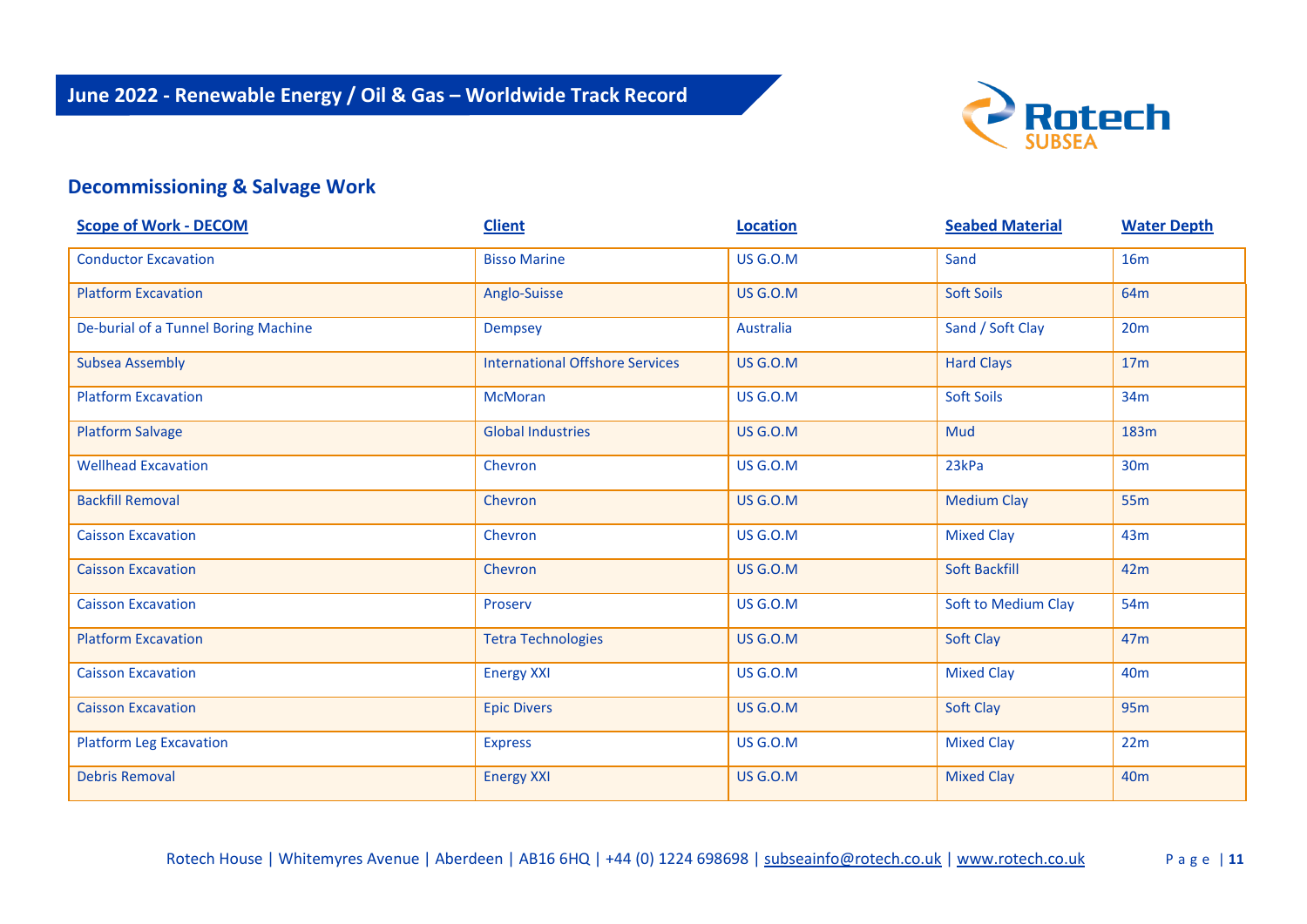

### **Decommissioning & Salvage Work**

| <b>Scope of Work - DECOM</b>         | <b>Client</b>                          | <b>Location</b> | <b>Seabed Material</b> | <b>Water Depth</b> |
|--------------------------------------|----------------------------------------|-----------------|------------------------|--------------------|
| <b>Conductor Excavation</b>          | <b>Bisso Marine</b>                    | <b>US G.O.M</b> | Sand                   | <b>16m</b>         |
| <b>Platform Excavation</b>           | Anglo-Suisse                           | <b>US G.O.M</b> | <b>Soft Soils</b>      | 64m                |
| De-burial of a Tunnel Boring Machine | Dempsey                                | Australia       | Sand / Soft Clay       | 20m                |
| <b>Subsea Assembly</b>               | <b>International Offshore Services</b> | <b>US G.O.M</b> | <b>Hard Clays</b>      | 17 <sub>m</sub>    |
| <b>Platform Excavation</b>           | <b>McMoran</b>                         | <b>US G.O.M</b> | <b>Soft Soils</b>      | 34m                |
| <b>Platform Salvage</b>              | <b>Global Industries</b>               | <b>US G.O.M</b> | Mud                    | 183m               |
| <b>Wellhead Excavation</b>           | Chevron                                | <b>US G.O.M</b> | 23kPa                  | 30 <sub>m</sub>    |
| <b>Backfill Removal</b>              | Chevron                                | <b>US G.O.M</b> | <b>Medium Clay</b>     | <b>55m</b>         |
| <b>Caisson Excavation</b>            | Chevron                                | <b>US G.O.M</b> | <b>Mixed Clay</b>      | 43m                |
| <b>Caisson Excavation</b>            | Chevron                                | <b>US G.O.M</b> | Soft Backfill          | 42m                |
| <b>Caisson Excavation</b>            | Proserv                                | <b>US G.O.M</b> | Soft to Medium Clay    | 54m                |
| <b>Platform Excavation</b>           | <b>Tetra Technologies</b>              | <b>US G.O.M</b> | Soft Clay              | 47 <sub>m</sub>    |
| <b>Caisson Excavation</b>            | <b>Energy XXI</b>                      | <b>US G.O.M</b> | <b>Mixed Clay</b>      | 40 <sub>m</sub>    |
| <b>Caisson Excavation</b>            | <b>Epic Divers</b>                     | <b>US G.O.M</b> | Soft Clay              | <b>95m</b>         |
| <b>Platform Leg Excavation</b>       | <b>Express</b>                         | <b>US G.O.M</b> | <b>Mixed Clay</b>      | 22m                |
| <b>Debris Removal</b>                | <b>Energy XXI</b>                      | <b>US G.O.M</b> | <b>Mixed Clay</b>      | 40 <sub>m</sub>    |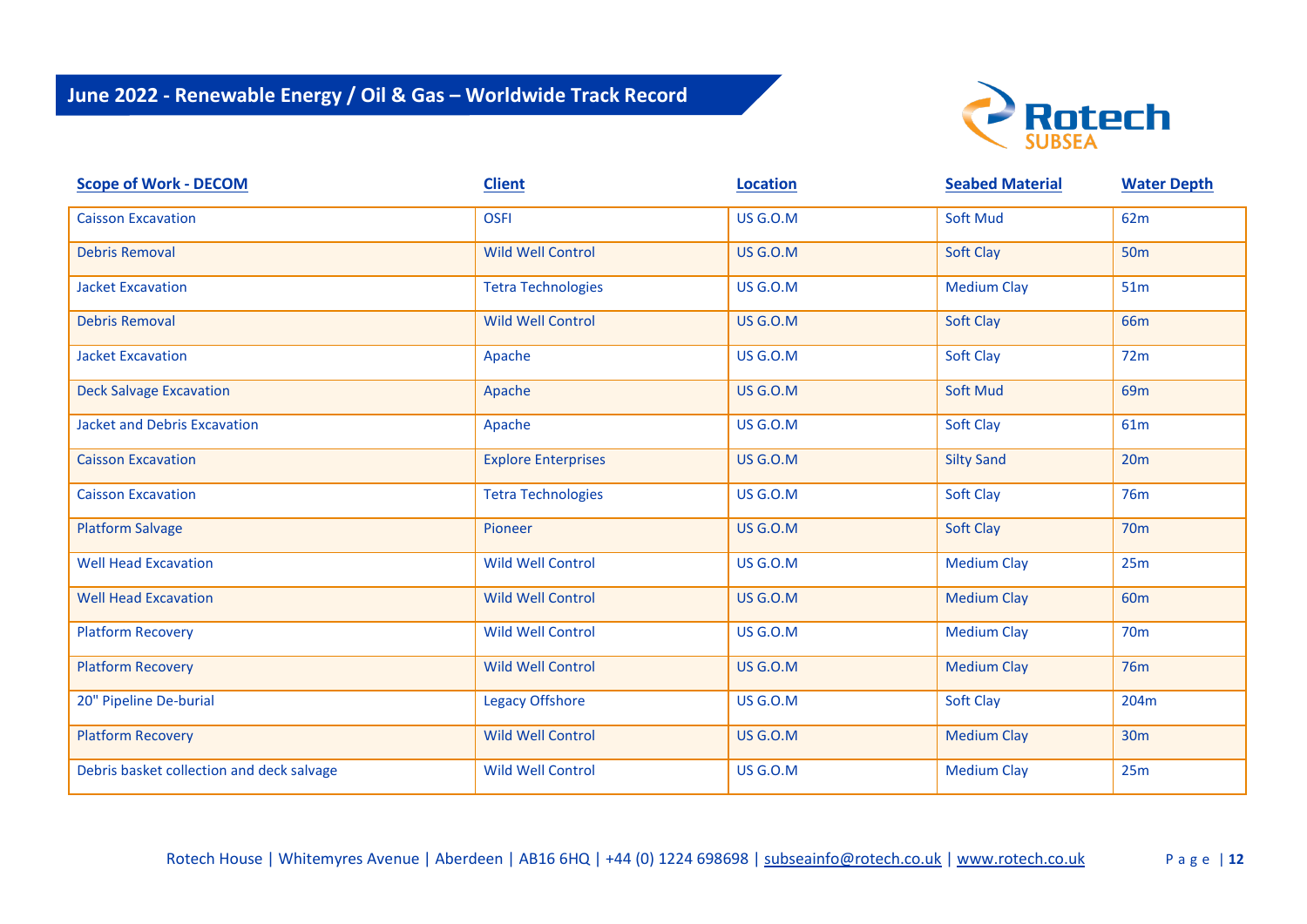

| <b>Scope of Work - DECOM</b>              | <b>Client</b>              | <b>Location</b> | <b>Seabed Material</b> | <b>Water Depth</b> |
|-------------------------------------------|----------------------------|-----------------|------------------------|--------------------|
| <b>Caisson Excavation</b>                 | <b>OSFI</b>                | <b>US G.O.M</b> | <b>Soft Mud</b>        | 62m                |
| <b>Debris Removal</b>                     | <b>Wild Well Control</b>   | <b>US G.O.M</b> | Soft Clay              | <b>50m</b>         |
| <b>Jacket Excavation</b>                  | <b>Tetra Technologies</b>  | <b>US G.O.M</b> | <b>Medium Clay</b>     | 51m                |
| <b>Debris Removal</b>                     | <b>Wild Well Control</b>   | <b>US G.O.M</b> | Soft Clay              | <b>66m</b>         |
| <b>Jacket Excavation</b>                  | Apache                     | <b>US G.O.M</b> | <b>Soft Clay</b>       | 72m                |
| <b>Deck Salvage Excavation</b>            | Apache                     | <b>US G.O.M</b> | <b>Soft Mud</b>        | 69m                |
| <b>Jacket and Debris Excavation</b>       | Apache                     | <b>US G.O.M</b> | <b>Soft Clay</b>       | 61m                |
| <b>Caisson Excavation</b>                 | <b>Explore Enterprises</b> | <b>US G.O.M</b> | <b>Silty Sand</b>      | 20m                |
| <b>Caisson Excavation</b>                 | <b>Tetra Technologies</b>  | <b>US G.O.M</b> | <b>Soft Clay</b>       | <b>76m</b>         |
| <b>Platform Salvage</b>                   | Pioneer                    | <b>US G.O.M</b> | <b>Soft Clay</b>       | <b>70m</b>         |
| <b>Well Head Excavation</b>               | Wild Well Control          | <b>US G.O.M</b> | <b>Medium Clay</b>     | 25m                |
| <b>Well Head Excavation</b>               | <b>Wild Well Control</b>   | <b>US G.O.M</b> | <b>Medium Clay</b>     | 60 <sub>m</sub>    |
| <b>Platform Recovery</b>                  | <b>Wild Well Control</b>   | <b>US G.O.M</b> | <b>Medium Clay</b>     | <b>70m</b>         |
| <b>Platform Recovery</b>                  | Wild Well Control          | <b>US G.O.M</b> | <b>Medium Clay</b>     | <b>76m</b>         |
| 20" Pipeline De-burial                    | <b>Legacy Offshore</b>     | <b>US G.O.M</b> | <b>Soft Clay</b>       | 204m               |
| <b>Platform Recovery</b>                  | Wild Well Control          | <b>US G.O.M</b> | <b>Medium Clay</b>     | 30 <sub>m</sub>    |
| Debris basket collection and deck salvage | Wild Well Control          | <b>US G.O.M</b> | <b>Medium Clay</b>     | 25m                |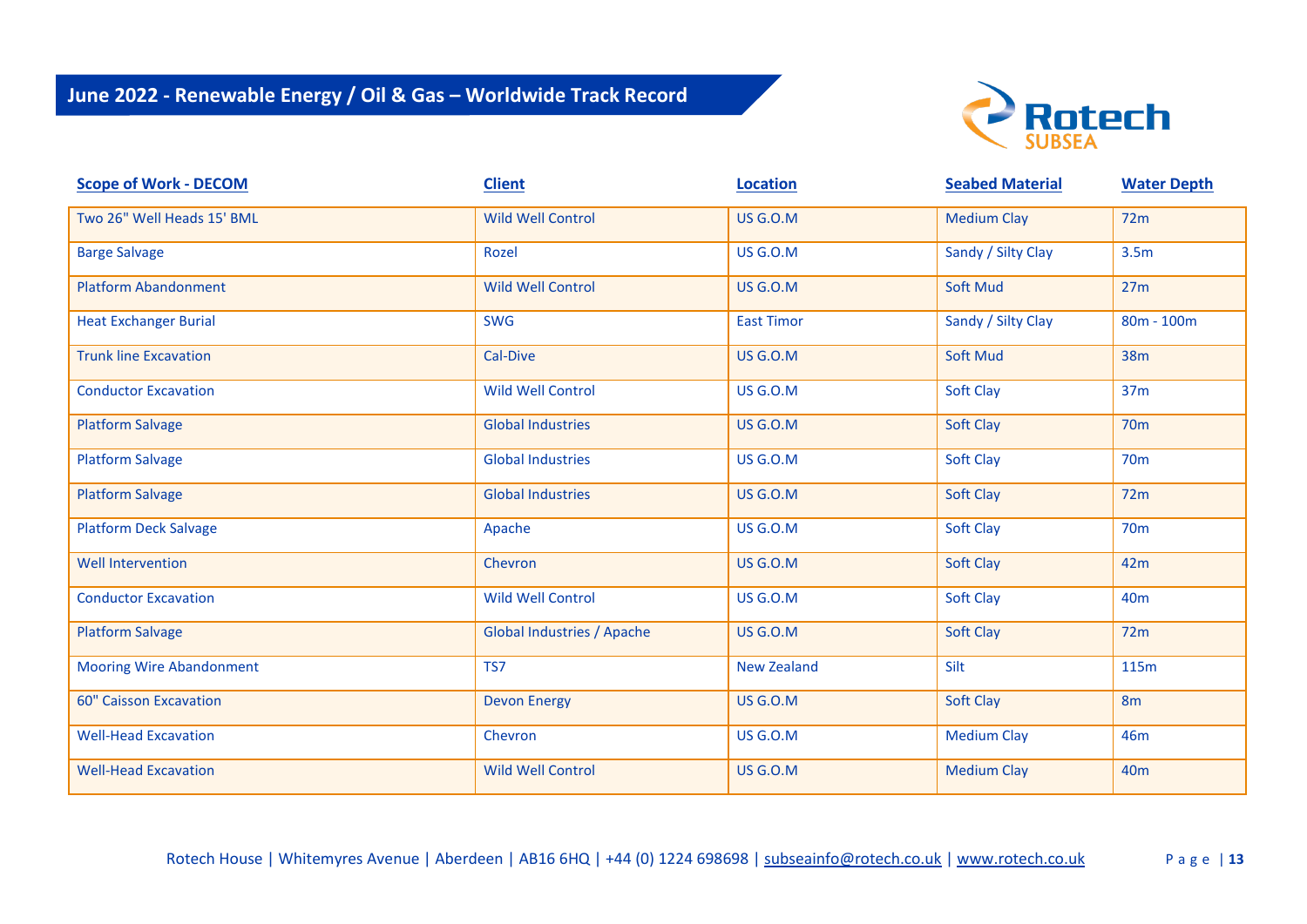

| <b>Scope of Work - DECOM</b>    | <b>Client</b>                     | <b>Location</b>    | <b>Seabed Material</b> | <b>Water Depth</b> |
|---------------------------------|-----------------------------------|--------------------|------------------------|--------------------|
| Two 26" Well Heads 15' BML      | Wild Well Control                 | <b>US G.O.M</b>    | <b>Medium Clay</b>     | 72m                |
| <b>Barge Salvage</b>            | Rozel                             | <b>US G.O.M</b>    | Sandy / Silty Clay     | 3.5 <sub>m</sub>   |
| <b>Platform Abandonment</b>     | <b>Wild Well Control</b>          | <b>US G.O.M</b>    | <b>Soft Mud</b>        | 27m                |
| <b>Heat Exchanger Burial</b>    | <b>SWG</b>                        | <b>East Timor</b>  | Sandy / Silty Clay     | $80m - 100m$       |
| <b>Trunk line Excavation</b>    | Cal-Dive                          | <b>US G.O.M</b>    | <b>Soft Mud</b>        | <b>38m</b>         |
| <b>Conductor Excavation</b>     | <b>Wild Well Control</b>          | <b>US G.O.M</b>    | Soft Clay              | 37m                |
| <b>Platform Salvage</b>         | <b>Global Industries</b>          | <b>US G.O.M</b>    | Soft Clay              | <b>70m</b>         |
| <b>Platform Salvage</b>         | <b>Global Industries</b>          | <b>US G.O.M</b>    | Soft Clay              | <b>70m</b>         |
| <b>Platform Salvage</b>         | <b>Global Industries</b>          | <b>US G.O.M</b>    | Soft Clay              | 72m                |
| <b>Platform Deck Salvage</b>    | Apache                            | <b>US G.O.M</b>    | Soft Clay              | <b>70m</b>         |
| <b>Well Intervention</b>        | Chevron                           | <b>US G.O.M</b>    | Soft Clay              | 42m                |
| <b>Conductor Excavation</b>     | Wild Well Control                 | <b>US G.O.M</b>    | Soft Clay              | 40 <sub>m</sub>    |
| <b>Platform Salvage</b>         | <b>Global Industries / Apache</b> | <b>US G.O.M</b>    | Soft Clay              | 72m                |
| <b>Mooring Wire Abandonment</b> | TS7                               | <b>New Zealand</b> | Silt                   | 115m               |
| <b>60" Caisson Excavation</b>   | <b>Devon Energy</b>               | <b>US G.O.M</b>    | Soft Clay              | 8 <sub>m</sub>     |
| <b>Well-Head Excavation</b>     | Chevron                           | <b>US G.O.M</b>    | <b>Medium Clay</b>     | 46m                |
| <b>Well-Head Excavation</b>     | <b>Wild Well Control</b>          | <b>US G.O.M</b>    | <b>Medium Clay</b>     | 40 <sub>m</sub>    |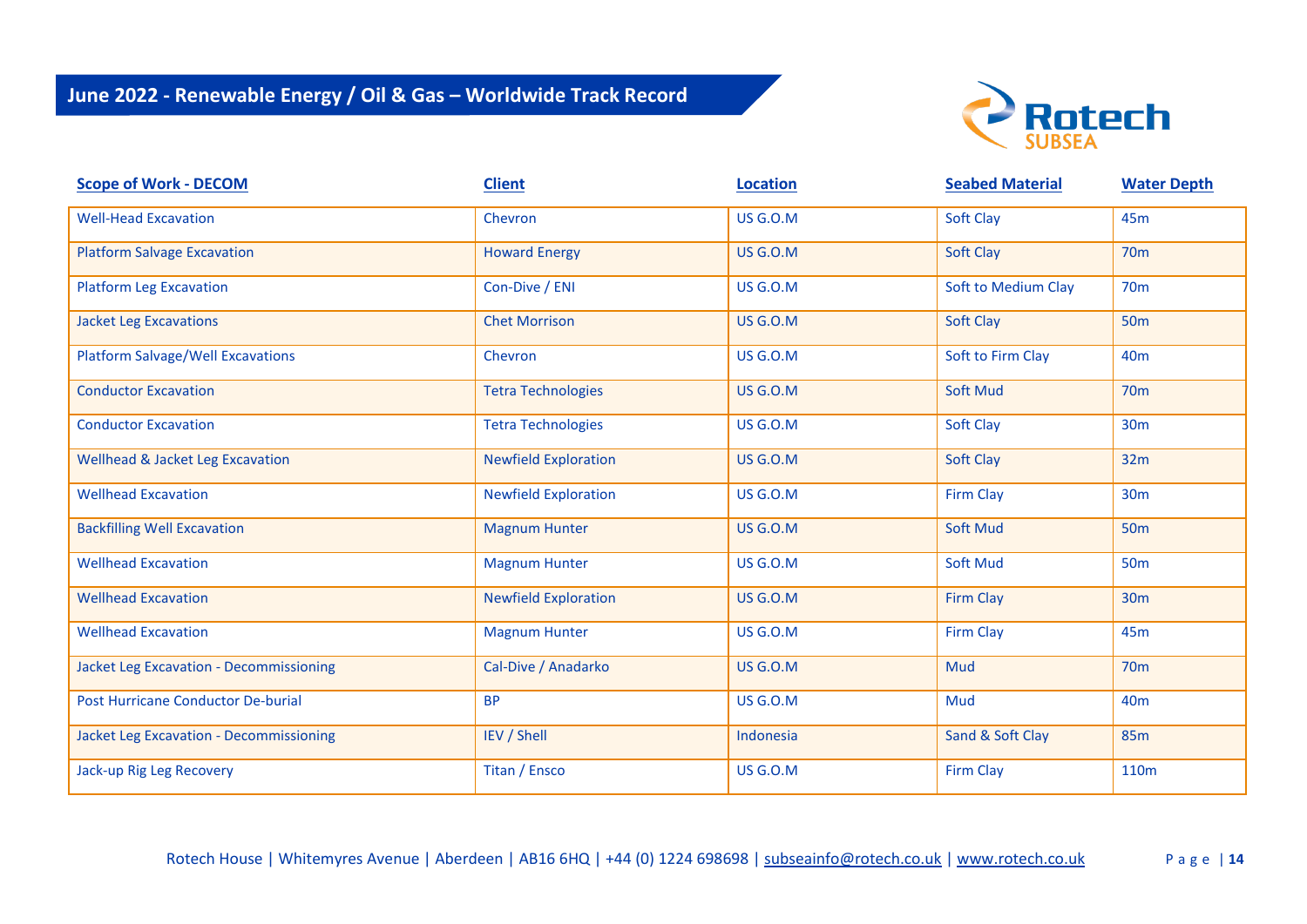

| <b>Scope of Work - DECOM</b>                   | <b>Client</b>               | <b>Location</b> | <b>Seabed Material</b> | <b>Water Depth</b> |
|------------------------------------------------|-----------------------------|-----------------|------------------------|--------------------|
| <b>Well-Head Excavation</b>                    | Chevron                     | <b>US G.O.M</b> | <b>Soft Clay</b>       | 45 <sub>m</sub>    |
| <b>Platform Salvage Excavation</b>             | <b>Howard Energy</b>        | <b>US G.O.M</b> | Soft Clay              | <b>70m</b>         |
| <b>Platform Leg Excavation</b>                 | Con-Dive / ENI              | <b>US G.O.M</b> | Soft to Medium Clay    | <b>70m</b>         |
| <b>Jacket Leg Excavations</b>                  | <b>Chet Morrison</b>        | <b>US G.O.M</b> | <b>Soft Clay</b>       | <b>50m</b>         |
| <b>Platform Salvage/Well Excavations</b>       | Chevron                     | <b>US G.O.M</b> | Soft to Firm Clay      | 40 <sub>m</sub>    |
| <b>Conductor Excavation</b>                    | <b>Tetra Technologies</b>   | <b>US G.O.M</b> | <b>Soft Mud</b>        | <b>70m</b>         |
| <b>Conductor Excavation</b>                    | <b>Tetra Technologies</b>   | <b>US G.O.M</b> | Soft Clay              | 30 <sub>m</sub>    |
| <b>Wellhead &amp; Jacket Leg Excavation</b>    | <b>Newfield Exploration</b> | <b>US G.O.M</b> | Soft Clay              | 32m                |
| <b>Wellhead Excavation</b>                     | <b>Newfield Exploration</b> | <b>US G.O.M</b> | <b>Firm Clay</b>       | 30 <sub>m</sub>    |
| <b>Backfilling Well Excavation</b>             | <b>Magnum Hunter</b>        | <b>US G.O.M</b> | <b>Soft Mud</b>        | <b>50m</b>         |
| <b>Wellhead Excavation</b>                     | <b>Magnum Hunter</b>        | <b>US G.O.M</b> | <b>Soft Mud</b>        | <b>50m</b>         |
| <b>Wellhead Excavation</b>                     | <b>Newfield Exploration</b> | <b>US G.O.M</b> | Firm Clay              | <b>30m</b>         |
| <b>Wellhead Excavation</b>                     | <b>Magnum Hunter</b>        | <b>US G.O.M</b> | <b>Firm Clay</b>       | 45 <sub>m</sub>    |
| <b>Jacket Leg Excavation - Decommissioning</b> | Cal-Dive / Anadarko         | <b>US G.O.M</b> | Mud                    | 70 <sub>m</sub>    |
| Post Hurricane Conductor De-burial             | <b>BP</b>                   | <b>US G.O.M</b> | Mud                    | 40 <sub>m</sub>    |
| <b>Jacket Leg Excavation - Decommissioning</b> | IEV / Shell                 | Indonesia       | Sand & Soft Clay       | <b>85m</b>         |
| Jack-up Rig Leg Recovery                       | Titan / Ensco               | <b>US G.O.M</b> | <b>Firm Clay</b>       | 110 <sub>m</sub>   |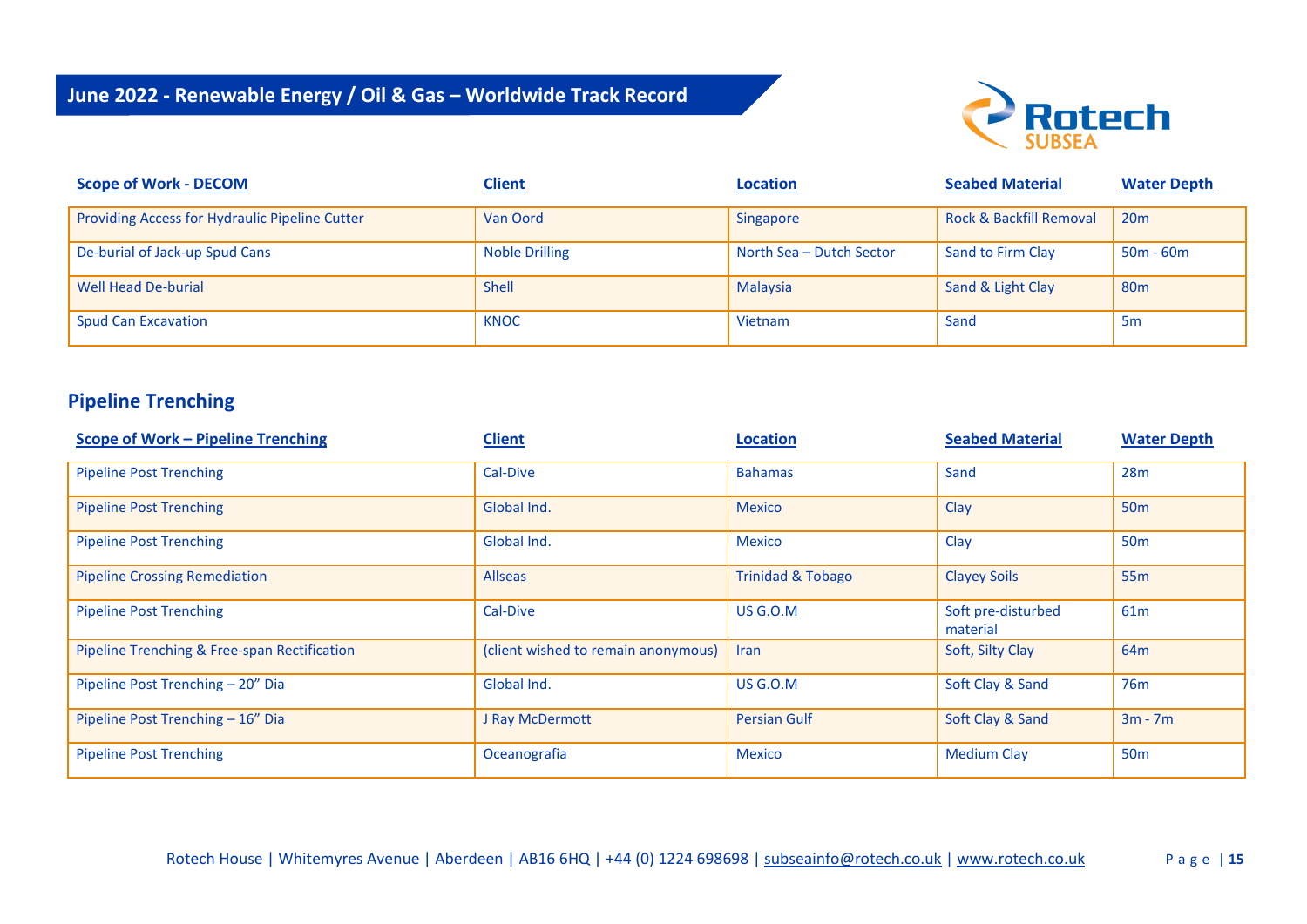

| <b>Scope of Work - DECOM</b>                   | <b>Client</b>         | <b>Location</b>          | <b>Seabed Material</b>  | <b>Water Depth</b> |
|------------------------------------------------|-----------------------|--------------------------|-------------------------|--------------------|
| Providing Access for Hydraulic Pipeline Cutter | Van Oord              | Singapore                | Rock & Backfill Removal | 20 <sub>m</sub>    |
| De-burial of Jack-up Spud Cans                 | <b>Noble Drilling</b> | North Sea - Dutch Sector | Sand to Firm Clay       | $50m - 60m$        |
| <b>Well Head De-burial</b>                     | <b>Shell</b>          | <b>Malaysia</b>          | Sand & Light Clay       | 80 <sub>m</sub>    |
| <b>Spud Can Excavation</b>                     | <b>KNOC</b>           | Vietnam                  | Sand                    | 5 <sub>m</sub>     |

### **Pipeline Trenching**

| <b>Scope of Work - Pipeline Trenching</b>    | <b>Client</b>                       | <b>Location</b>              | <b>Seabed Material</b>         | <b>Water Depth</b> |
|----------------------------------------------|-------------------------------------|------------------------------|--------------------------------|--------------------|
| <b>Pipeline Post Trenching</b>               | Cal-Dive                            | <b>Bahamas</b>               | Sand                           | 28m                |
| <b>Pipeline Post Trenching</b>               | Global Ind.                         | <b>Mexico</b>                | Clay                           | <b>50m</b>         |
| <b>Pipeline Post Trenching</b>               | Global Ind.                         | <b>Mexico</b>                | Clay                           | 50 <sub>m</sub>    |
| <b>Pipeline Crossing Remediation</b>         | <b>Allseas</b>                      | <b>Trinidad &amp; Tobago</b> | <b>Clayey Soils</b>            | 55 <sub>m</sub>    |
| <b>Pipeline Post Trenching</b>               | Cal-Dive                            | <b>US G.O.M</b>              | Soft pre-disturbed<br>material | 61 <sub>m</sub>    |
| Pipeline Trenching & Free-span Rectification | (client wished to remain anonymous) | Iran                         | Soft, Silty Clay               | 64 <sub>m</sub>    |
| Pipeline Post Trenching - 20" Dia            | Global Ind.                         | <b>US G.O.M</b>              | Soft Clay & Sand               | 76 <sub>m</sub>    |
| Pipeline Post Trenching - 16" Dia            | J Ray McDermott                     | <b>Persian Gulf</b>          | Soft Clay & Sand               | $3m - 7m$          |
| <b>Pipeline Post Trenching</b>               | Oceanografia                        | <b>Mexico</b>                | <b>Medium Clay</b>             | 50 <sub>m</sub>    |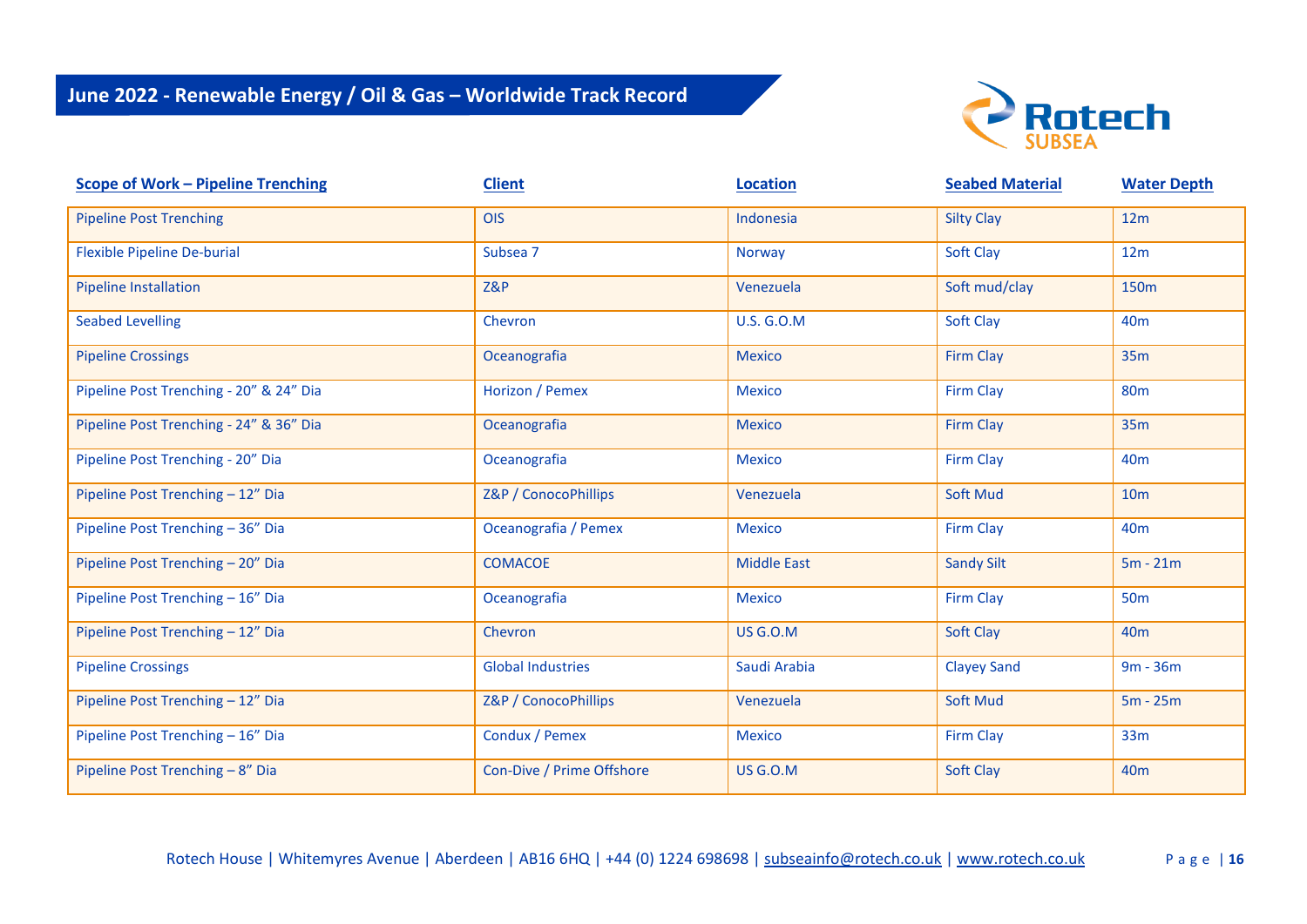

| <b>Scope of Work - Pipeline Trenching</b> | <b>Client</b>             | <b>Location</b>    | <b>Seabed Material</b> | <b>Water Depth</b> |
|-------------------------------------------|---------------------------|--------------------|------------------------|--------------------|
| <b>Pipeline Post Trenching</b>            | OIS                       | Indonesia          | <b>Silty Clay</b>      | 12m                |
| <b>Flexible Pipeline De-burial</b>        | Subsea 7                  | Norway             | Soft Clay              | 12m                |
| <b>Pipeline Installation</b>              | Z&P                       | Venezuela          | Soft mud/clay          | 150m               |
| <b>Seabed Levelling</b>                   | Chevron                   | <b>U.S. G.O.M</b>  | <b>Soft Clay</b>       | 40 <sub>m</sub>    |
| <b>Pipeline Crossings</b>                 | Oceanografia              | <b>Mexico</b>      | <b>Firm Clay</b>       | 35m                |
| Pipeline Post Trenching - 20" & 24" Dia   | Horizon / Pemex           | <b>Mexico</b>      | <b>Firm Clay</b>       | <b>80m</b>         |
| Pipeline Post Trenching - 24" & 36" Dia   | Oceanografia              | <b>Mexico</b>      | Firm Clay              | 35m                |
| Pipeline Post Trenching - 20" Dia         | Oceanografia              | <b>Mexico</b>      | Firm Clay              | 40 <sub>m</sub>    |
| Pipeline Post Trenching - 12" Dia         | Z&P / ConocoPhillips      | Venezuela          | <b>Soft Mud</b>        | 10 <sub>m</sub>    |
| Pipeline Post Trenching - 36" Dia         | Oceanografia / Pemex      | <b>Mexico</b>      | Firm Clay              | 40 <sub>m</sub>    |
| Pipeline Post Trenching - 20" Dia         | <b>COMACOE</b>            | <b>Middle East</b> | <b>Sandy Silt</b>      | $5m - 21m$         |
| Pipeline Post Trenching - 16" Dia         | Oceanografia              | <b>Mexico</b>      | Firm Clay              | <b>50m</b>         |
| Pipeline Post Trenching - 12" Dia         | Chevron                   | <b>US G.O.M</b>    | Soft Clay              | 40 <sub>m</sub>    |
| <b>Pipeline Crossings</b>                 | <b>Global Industries</b>  | Saudi Arabia       | <b>Clayey Sand</b>     | $9m - 36m$         |
| Pipeline Post Trenching - 12" Dia         | Z&P / ConocoPhillips      | Venezuela          | <b>Soft Mud</b>        | $5m - 25m$         |
| Pipeline Post Trenching - 16" Dia         | Condux / Pemex            | <b>Mexico</b>      | Firm Clay              | 33m                |
| Pipeline Post Trenching - 8" Dia          | Con-Dive / Prime Offshore | <b>US G.O.M</b>    | Soft Clay              | 40 <sub>m</sub>    |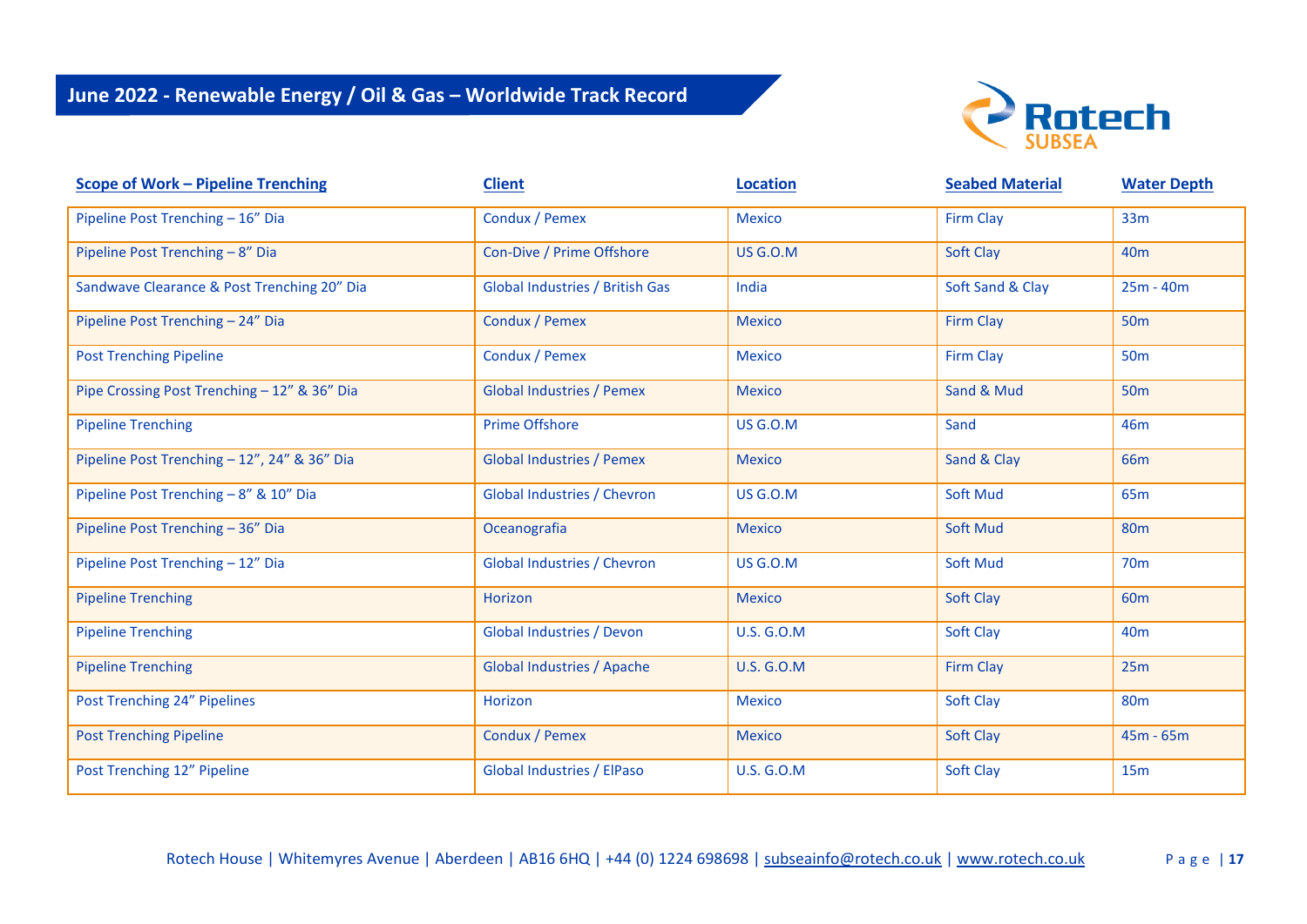

| <b>Scope of Work - Pipeline Trenching</b>    | <b>Client</b>                          | <b>Location</b>   | <b>Seabed Material</b> | <b>Water Depth</b> |
|----------------------------------------------|----------------------------------------|-------------------|------------------------|--------------------|
| Pipeline Post Trenching - 16" Dia            | Condux / Pemex                         | <b>Mexico</b>     | <b>Firm Clay</b>       | 33m                |
| Pipeline Post Trenching - 8" Dia             | Con-Dive / Prime Offshore              | <b>US G.O.M</b>   | Soft Clay              | 40 <sub>m</sub>    |
| Sandwave Clearance & Post Trenching 20" Dia  | <b>Global Industries / British Gas</b> | India             | Soft Sand & Clay       | $25m - 40m$        |
| Pipeline Post Trenching - 24" Dia            | Condux / Pemex                         | <b>Mexico</b>     | <b>Firm Clay</b>       | <b>50m</b>         |
| <b>Post Trenching Pipeline</b>               | Condux / Pemex                         | <b>Mexico</b>     | <b>Firm Clay</b>       | <b>50m</b>         |
| Pipe Crossing Post Trenching - 12" & 36" Dia | <b>Global Industries / Pemex</b>       | <b>Mexico</b>     | Sand & Mud             | <b>50m</b>         |
| <b>Pipeline Trenching</b>                    | <b>Prime Offshore</b>                  | <b>US G.O.M</b>   | Sand                   | 46m                |
| Pipeline Post Trenching - 12", 24" & 36" Dia | <b>Global Industries / Pemex</b>       | <b>Mexico</b>     | Sand & Clay            | 66 <sub>m</sub>    |
| Pipeline Post Trenching - 8" & 10" Dia       | <b>Global Industries / Chevron</b>     | <b>US G.O.M</b>   | <b>Soft Mud</b>        | 65 <sub>m</sub>    |
| Pipeline Post Trenching - 36" Dia            | Oceanografia                           | <b>Mexico</b>     | <b>Soft Mud</b>        | <b>80m</b>         |
| Pipeline Post Trenching - 12" Dia            | Global Industries / Chevron            | <b>US G.O.M</b>   | <b>Soft Mud</b>        | 70 <sub>m</sub>    |
| <b>Pipeline Trenching</b>                    | Horizon                                | <b>Mexico</b>     | Soft Clay              | 60 <sub>m</sub>    |
| <b>Pipeline Trenching</b>                    | <b>Global Industries / Devon</b>       | <b>U.S. G.O.M</b> | <b>Soft Clay</b>       | 40 <sub>m</sub>    |
| <b>Pipeline Trenching</b>                    | <b>Global Industries / Apache</b>      | <b>U.S. G.O.M</b> | <b>Firm Clay</b>       | 25m                |
| Post Trenching 24" Pipelines                 | Horizon                                | <b>Mexico</b>     | <b>Soft Clay</b>       | <b>80m</b>         |
| <b>Post Trenching Pipeline</b>               | Condux / Pemex                         | <b>Mexico</b>     | Soft Clay              | $45m - 65m$        |
| Post Trenching 12" Pipeline                  | Global Industries / ElPaso             | <b>U.S. G.O.M</b> | Soft Clay              | 15m                |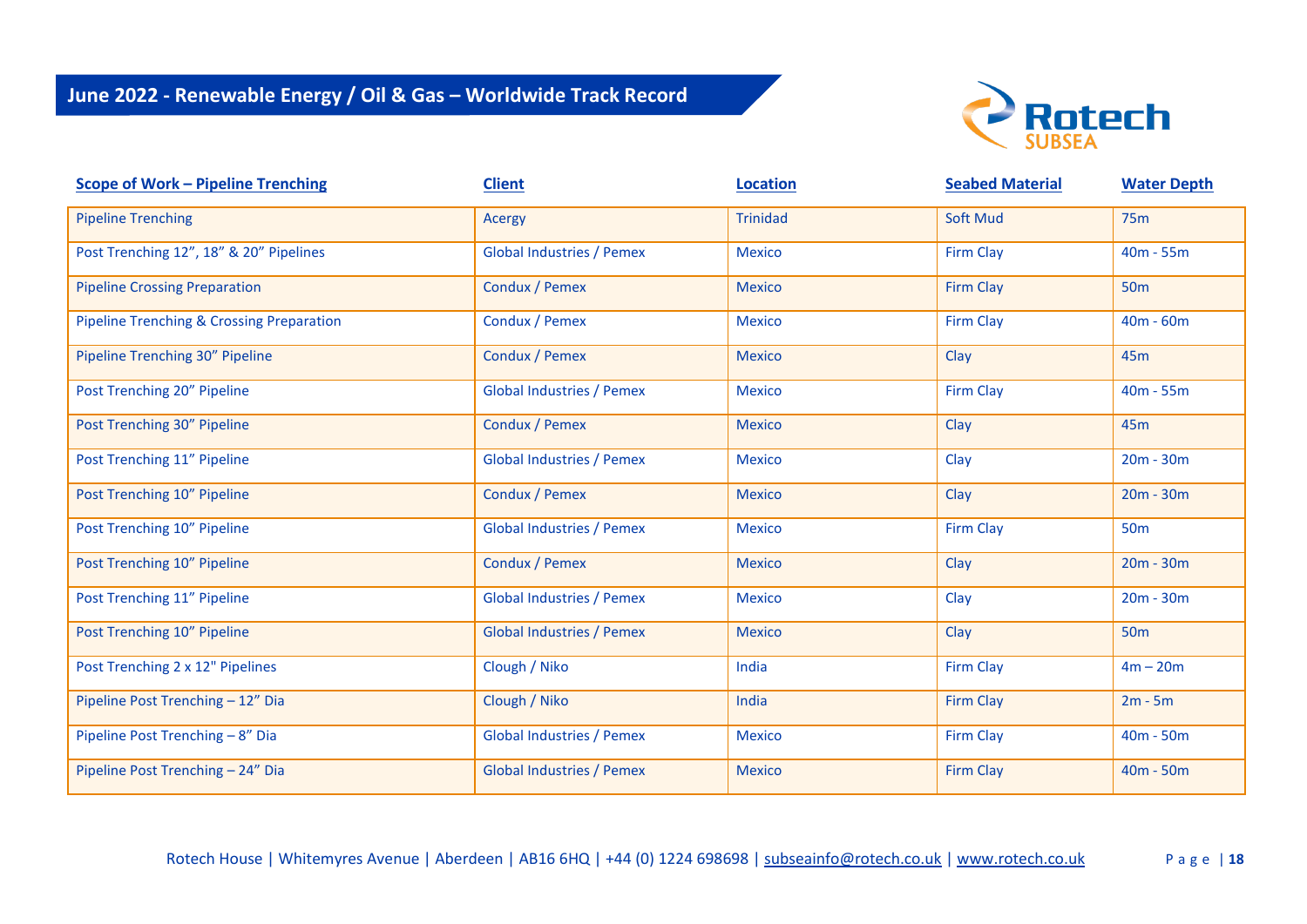

| <b>Scope of Work - Pipeline Trenching</b> | <b>Client</b>                    | <b>Location</b> | <b>Seabed Material</b> | <b>Water Depth</b> |
|-------------------------------------------|----------------------------------|-----------------|------------------------|--------------------|
| <b>Pipeline Trenching</b>                 | Acergy                           | <b>Trinidad</b> | <b>Soft Mud</b>        | <b>75m</b>         |
| Post Trenching 12", 18" & 20" Pipelines   | <b>Global Industries / Pemex</b> | <b>Mexico</b>   | <b>Firm Clay</b>       | $40m - 55m$        |
| <b>Pipeline Crossing Preparation</b>      | Condux / Pemex                   | <b>Mexico</b>   | <b>Firm Clay</b>       | 50 <sub>m</sub>    |
| Pipeline Trenching & Crossing Preparation | Condux / Pemex                   | <b>Mexico</b>   | <b>Firm Clay</b>       | $40m - 60m$        |
| Pipeline Trenching 30" Pipeline           | Condux / Pemex                   | <b>Mexico</b>   | Clay                   | 45 <sub>m</sub>    |
| Post Trenching 20" Pipeline               | <b>Global Industries / Pemex</b> | <b>Mexico</b>   | Firm Clay              | $40m - 55m$        |
| Post Trenching 30" Pipeline               | Condux / Pemex                   | <b>Mexico</b>   | Clay                   | 45 <sub>m</sub>    |
| Post Trenching 11" Pipeline               | <b>Global Industries / Pemex</b> | <b>Mexico</b>   | Clay                   | $20m - 30m$        |
| Post Trenching 10" Pipeline               | Condux / Pemex                   | <b>Mexico</b>   | Clay                   | $20m - 30m$        |
| Post Trenching 10" Pipeline               | <b>Global Industries / Pemex</b> | <b>Mexico</b>   | <b>Firm Clay</b>       | <b>50m</b>         |
| Post Trenching 10" Pipeline               | Condux / Pemex                   | <b>Mexico</b>   | Clay                   | $20m - 30m$        |
| Post Trenching 11" Pipeline               | <b>Global Industries / Pemex</b> | <b>Mexico</b>   | Clay                   | $20m - 30m$        |
| Post Trenching 10" Pipeline               | <b>Global Industries / Pemex</b> | <b>Mexico</b>   | Clay                   | <b>50m</b>         |
| Post Trenching 2 x 12" Pipelines          | Clough / Niko                    | India           | <b>Firm Clay</b>       | $4m - 20m$         |
| Pipeline Post Trenching - 12" Dia         | Clough / Niko                    | India           | Firm Clay              | $2m - 5m$          |
| Pipeline Post Trenching - 8" Dia          | <b>Global Industries / Pemex</b> | <b>Mexico</b>   | <b>Firm Clay</b>       | $40m - 50m$        |
| Pipeline Post Trenching - 24" Dia         | <b>Global Industries / Pemex</b> | <b>Mexico</b>   | Firm Clay              | $40m - 50m$        |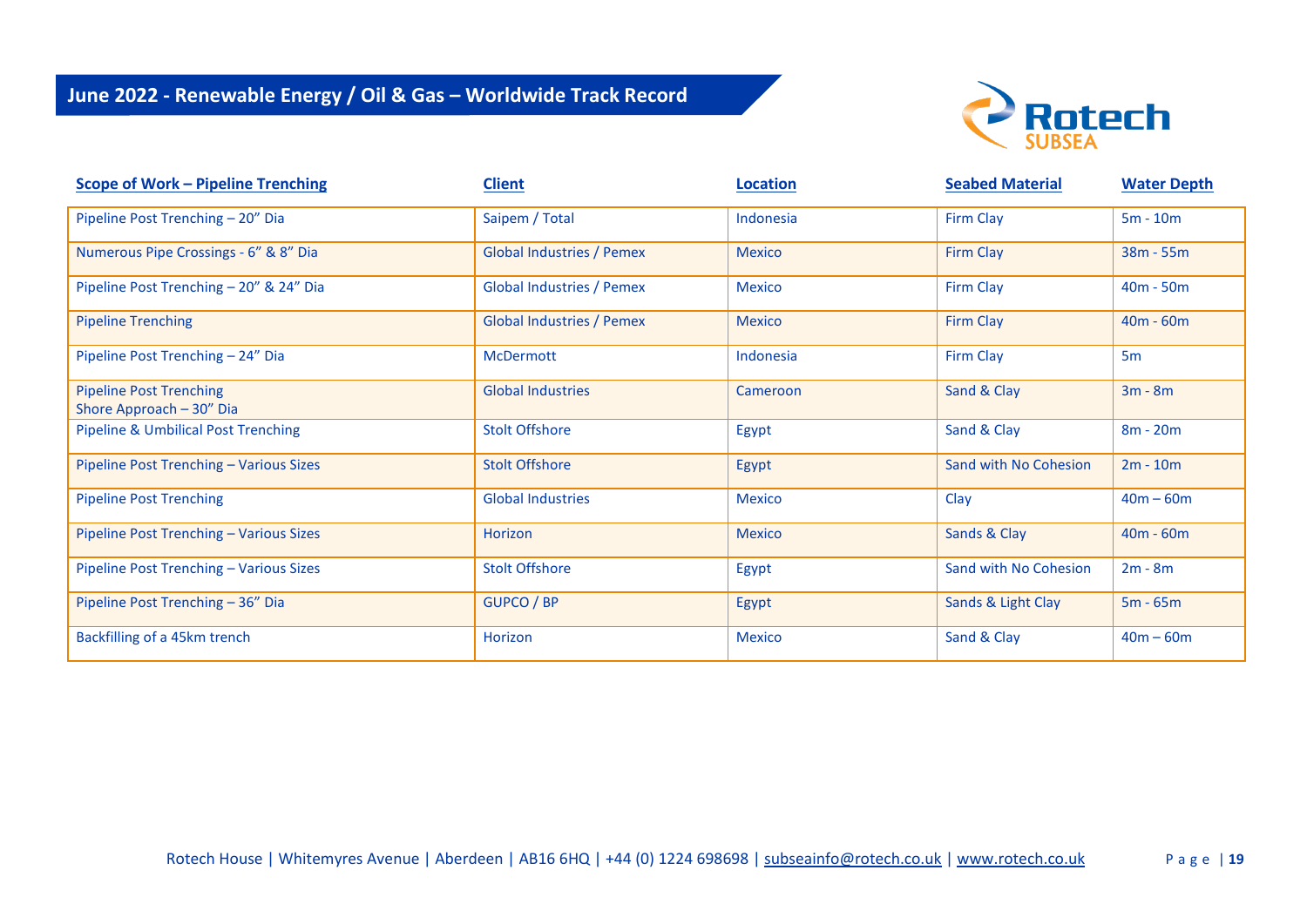

| <b>Scope of Work - Pipeline Trenching</b>                  | <b>Client</b>                    | <b>Location</b> | <b>Seabed Material</b> | <b>Water Depth</b> |
|------------------------------------------------------------|----------------------------------|-----------------|------------------------|--------------------|
| Pipeline Post Trenching - 20" Dia                          | Saipem / Total                   | Indonesia       | <b>Firm Clay</b>       | $5m - 10m$         |
| Numerous Pipe Crossings - 6" & 8" Dia                      | <b>Global Industries / Pemex</b> | <b>Mexico</b>   | <b>Firm Clay</b>       | $38m - 55m$        |
| Pipeline Post Trenching - 20" & 24" Dia                    | <b>Global Industries / Pemex</b> | <b>Mexico</b>   | <b>Firm Clay</b>       | $40m - 50m$        |
| <b>Pipeline Trenching</b>                                  | <b>Global Industries / Pemex</b> | <b>Mexico</b>   | <b>Firm Clay</b>       | $40m - 60m$        |
| Pipeline Post Trenching - 24" Dia                          | <b>McDermott</b>                 | Indonesia       | <b>Firm Clay</b>       | 5 <sub>m</sub>     |
| <b>Pipeline Post Trenching</b><br>Shore Approach - 30" Dia | <b>Global Industries</b>         | Cameroon        | Sand & Clay            | $3m - 8m$          |
| <b>Pipeline &amp; Umbilical Post Trenching</b>             | <b>Stolt Offshore</b>            | Egypt           | Sand & Clay            | $8m - 20m$         |
| Pipeline Post Trenching - Various Sizes                    | <b>Stolt Offshore</b>            | Egypt           | Sand with No Cohesion  | $2m - 10m$         |
| <b>Pipeline Post Trenching</b>                             | <b>Global Industries</b>         | <b>Mexico</b>   | Clay                   | $40m - 60m$        |
| Pipeline Post Trenching - Various Sizes                    | <b>Horizon</b>                   | <b>Mexico</b>   | Sands & Clay           | $40m - 60m$        |
| Pipeline Post Trenching - Various Sizes                    | <b>Stolt Offshore</b>            | Egypt           | Sand with No Cohesion  | $2m - 8m$          |
| Pipeline Post Trenching - 36" Dia                          | <b>GUPCO / BP</b>                | Egypt           | Sands & Light Clay     | $5m - 65m$         |
| Backfilling of a 45km trench                               | Horizon                          | <b>Mexico</b>   | Sand & Clay            | $40m - 60m$        |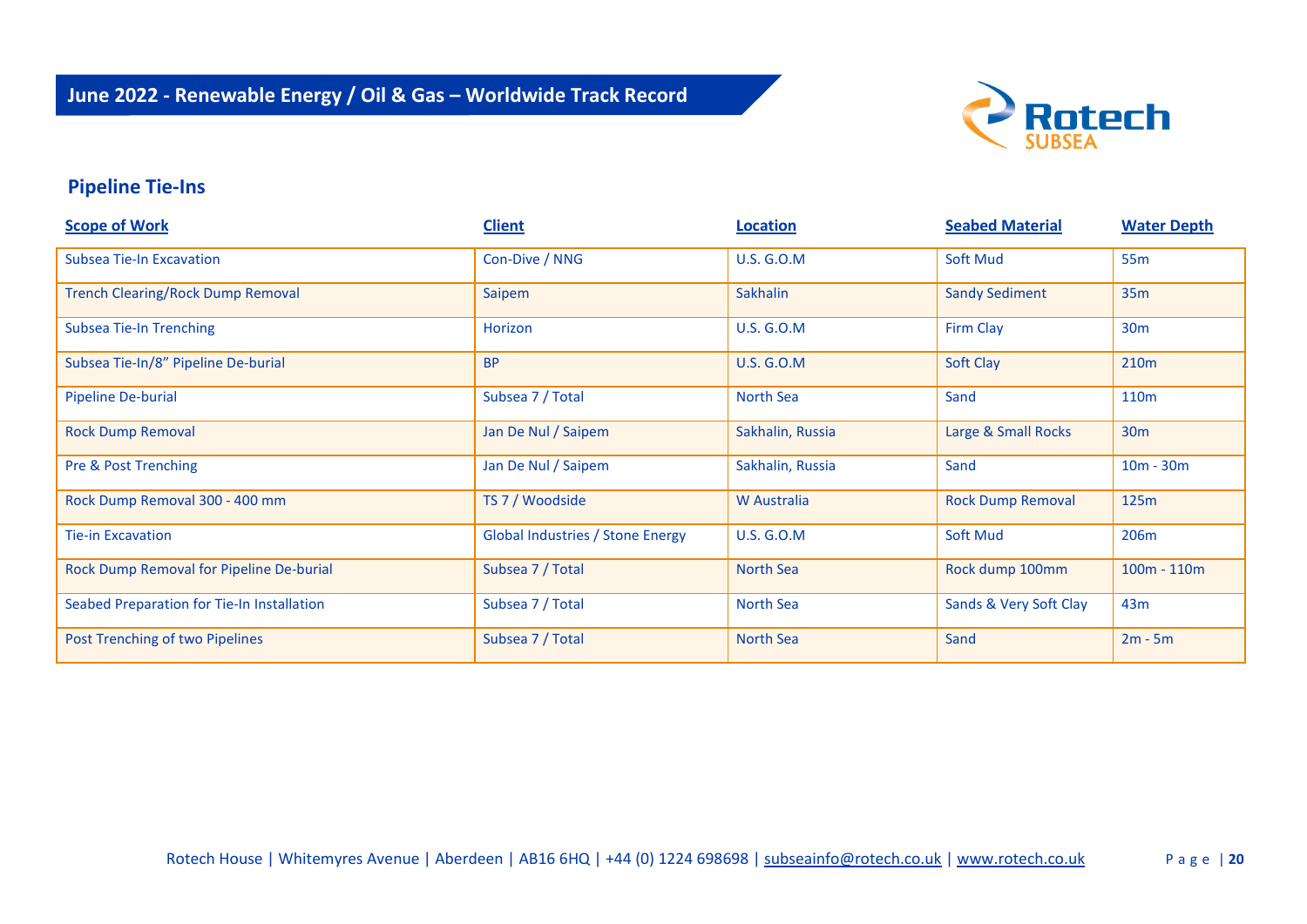

### **Pipeline Tie-Ins**

| <b>Scope of Work</b>                       | <b>Client</b>                           | <b>Location</b>   | <b>Seabed Material</b>   | <b>Water Depth</b> |
|--------------------------------------------|-----------------------------------------|-------------------|--------------------------|--------------------|
| <b>Subsea Tie-In Excavation</b>            | Con-Dive / NNG                          | <b>U.S. G.O.M</b> | Soft Mud                 | 55 <sub>m</sub>    |
| <b>Trench Clearing/Rock Dump Removal</b>   | Saipem                                  | Sakhalin          | <b>Sandy Sediment</b>    | 35m                |
| <b>Subsea Tie-In Trenching</b>             | Horizon                                 | <b>U.S. G.O.M</b> | Firm Clay                | 30 <sub>m</sub>    |
| Subsea Tie-In/8" Pipeline De-burial        | <b>BP</b>                               | <b>U.S. G.O.M</b> | Soft Clay                | 210 <sub>m</sub>   |
| Pipeline De-burial                         | Subsea 7 / Total                        | North Sea         | Sand                     | 110 <sub>m</sub>   |
| <b>Rock Dump Removal</b>                   | Jan De Nul / Saipem                     | Sakhalin, Russia  | Large & Small Rocks      | 30 <sub>m</sub>    |
| Pre & Post Trenching                       | Jan De Nul / Saipem                     | Sakhalin, Russia  | Sand                     | $10m - 30m$        |
| Rock Dump Removal 300 - 400 mm             | TS 7 / Woodside                         | W Australia       | <b>Rock Dump Removal</b> | 125m               |
| <b>Tie-in Excavation</b>                   | <b>Global Industries / Stone Energy</b> | <b>U.S. G.O.M</b> | <b>Soft Mud</b>          | 206m               |
| Rock Dump Removal for Pipeline De-burial   | Subsea 7 / Total                        | <b>North Sea</b>  | Rock dump 100mm          | $100m - 110m$      |
| Seabed Preparation for Tie-In Installation | Subsea 7 / Total                        | <b>North Sea</b>  | Sands & Very Soft Clay   | 43m                |
| Post Trenching of two Pipelines            | Subsea 7 / Total                        | <b>North Sea</b>  | Sand                     | $2m - 5m$          |